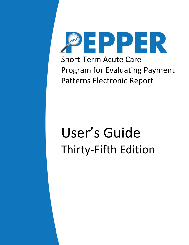

# User's Guide Thirty-Fifth Edition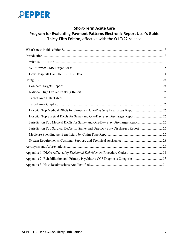

#### **Short-Term Acute Care**

#### **Program for Evaluating Payment Patterns Electronic Report User's Guide**

Thirty-Fifth Edition, effective with the Q1FY22 release

| Hospital Top Medical DRGs for Same- and One-Day Stay Discharges Report 26      |  |
|--------------------------------------------------------------------------------|--|
|                                                                                |  |
| Jurisdiction Top Medical DRGs for Same- and One-Day Stay Discharges Report27   |  |
| Jurisdiction Top Surgical DRGs for Same- and One-Day Stay Discharges Report 27 |  |
|                                                                                |  |
|                                                                                |  |
|                                                                                |  |
|                                                                                |  |
| Appendix 2: Rehabilitation and Primary Psychiatric CCS Diagnosis Categories 33 |  |
|                                                                                |  |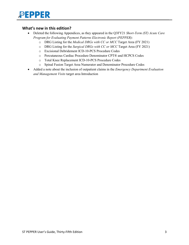

#### <span id="page-2-0"></span>**What's new in this edition?**

- Deleted the following Appendices, as they appeared in the Q3FY21 *Short-Term (ST) Acute Care Program for Evaluating Payment Patterns Electronic Report (PEPPER)*:
	- o DRG Listing for the *Medical DRGs with CC or MCC* Target Area (FY 2021)
	- o DRG Listing for the *Surgical DRGs with CC or MCC* Target Area (FY 2021)
	- o Excisional Debridement ICD-10-PCS Procedure Codes
	- o Percutaneous Cardiac Procedure Denominator CPT® and HCPCS Codes
	- o Total Knee Replacement ICD-10-PCS Procedure Codes
	- o Spinal Fusion Target Area Numerator and Denominator Procedure Codes
- <span id="page-2-1"></span>• Added a note about the inclusion of outpatient claims in the *Emergency Department Evaluation and Management Visits* target area Introduction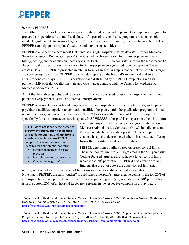#### <span id="page-3-0"></span>**What Is PEPPER?**

The Office of Inspector General encourages hospitals to develop and implement a compliance program to protect their operations from fraud and abuse.<sup>[1](#page-3-1),[2](#page-3-2)</sup>As part of its compliance program, a hospital should conduct regular audits to ensure charges for Medicare services are correctly documented and billed. The PEPPER can help guide hospitals' auditing and monitoring activities.

PEPPER is an electronic data report that contains a single hospital's claims data statistics for Medicare-Severity Diagnosis-Related Groups (MS-DRGs) and discharges at risk for improper payment due to billing, coding, and/or admission necessity issues. Each PEPPER contains statistics for the most recent 12 federal fiscal quarters for each area at risk for improper payments (referred to in the report as "target areas"). Data in PEPPER is presented in tabular form, as well as in graphs that depict the hospital's target area percentages over time. PEPPER also includes reports on the hospital's top medical and surgical DRGs for one-day stays. PEPPER is developed and distributed by the RELI Group, along with its partners TMF® Health Quality Institute and CGS, under contract with the Centers for Medicare & Medicaid Services (CMS).

All of the data tables, graphs, and reports in PEPPER were designed to assist the hospital in identifying potential overpayments as well as potential underpayments.

PEPPER is available for short- and long-term acute care hospitals, critical access hospitals, and inpatient psychiatric facilities, inpatient rehabilitation facilities, hospices, partial hospitalization programs, skilled nursing facilities, and home health agencies. The *ST PEPPER* is the version of PEPPER designed specifically for short-term acute care hospitals. In *ST PEPPER*, a hospital is compared to other short-term

**PEPPER does not identify the presence of payment errors, but it can be used as a guide for auditing and monitoring efforts.** A hospital can use PEPPER to compare its claims data over time to identify areas of potential concern:

- Significant changes in billing practices
- Possible over- or under-coding
- Changes in lengths of stay

 $\overline{a}$ 

acute care hospitals in three comparison groups: the nation, Medicare Administrative Contractor (MAC) jurisdictions, and the state in which the hospital operates. These comparisons enable a hospital to determine whether it is an outlier, differing from other short-term acute care hospitals.

PEPPER determines outliers based on preset control limits. The upper control limit for all target areas is the  $80<sup>th</sup>$  percentile. Coding-focused target areas also have a lower control limit, which is the  $20<sup>th</sup>$  percentile. PEPPER draws attention to any findings that are at or above the upper control limit (high

outlier) or at or below the lower control limit (low outliers for coding-focused areas only). Note that in PEPPER, the term "outlier" is used when a hospital's target area percent is in the top 20% of all hospital target area percents in the respective comparison group (i.e., is at/above the  $80<sup>th</sup>$  percentile) or is in the bottom 20% of all hospital target area percents in the respective comparison group (i.e., is

<span id="page-3-1"></span><sup>1</sup> Department of Health and Human Services/Office of Inspector General. 1998. "Compliance Program Guidance for Hospitals," *Federal Register* 63, no. 35, Feb. 23, 1998, 8987–8998. Available at: <https://oig.hhs.gov/authorities/docs/cpghosp.pdf>

<span id="page-3-2"></span><sup>&</sup>lt;sup>2</sup> Department of Health and Human Services/Office of Inspector General. 2005. "Supplementing the Compliance Program Guidance for Hospitals," *Federal Register* 70, no. 19, Jan. 31, 2005, 4858–4876. Available at: <https://oig.hhs.gov/fraud/docs/complianceguidance/012705HospSupplementalGuidance.pdf>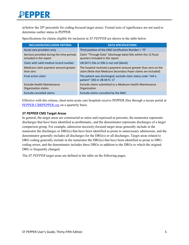at/below the 20<sup>th</sup> percentile for coding-focused target areas). Formal tests of significance are not used to determine outlier status in PEPPER.

Specifications for claims eligible for inclusion in *ST PEPPER* are shown in the table below.

| <b>INCLUSION/EXCLUSION CRITERIA</b>                                 | <b>DATA SPECIFICATIONS</b>                                                                                                        |
|---------------------------------------------------------------------|-----------------------------------------------------------------------------------------------------------------------------------|
| Acute care providers only                                           | Third position of the CMS Certification Number = "0"                                                                              |
| Services provided during the time periods<br>included in the report | Claim "Through Date" (discharge date) falls within the 12 fiscal<br>quarters included in the report                               |
| Claim with valid medical record number                              | UB-04 FL 03a or 03b is not null (blank)                                                                                           |
| Medicare claim payment amount greater<br>than zero                  | The hospital received a payment amount greater than zero on the<br>claim (Note that Medicare Secondary Payer claims are included) |
| Final action claim                                                  | The patient was discharged; exclude claim status code "still a<br>patient" (30) in UB-04 FL 17                                    |
| Exclude Health Maintenance<br>Organization claims                   | Exclude claims submitted to a Medicare Health Maintenance<br>Organization                                                         |
| Exclude cancelled claims                                            | Exclude claims cancelled by the MAC                                                                                               |

Effective with this release, short-term acute care hospitals receive PEPPER files through a secure portal at [PEPPER.CBRPEPPER.org](https://pepper.cbrpepper.org/) on a quarterly basis.

#### <span id="page-4-0"></span>*ST PEPPER* **CMS Target Areas**

In general, the target areas are constructed as ratios and expressed as percents; the numerator represents discharges that have been identified as problematic, and the denominator represents discharges of a larger comparison group. For example, admission necessity-focused target areas generally include in the numerator the discharges or DRG(s) that have been identified as prone to unnecessary admissions, and the denominator generally includes all discharges for the DRG(s) or all discharges. Target areas related to DRG coding generally include in the numerator the DRG(s) that have been identified as prone to DRG coding errors, and the denominator includes these DRGs in addition to the DRGs to which the original DRG is frequently changed.

The *ST PEPPER* target areas are defined in the table on the following pages.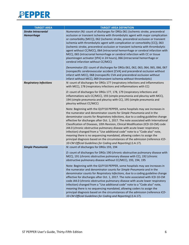

| <b>TARGET AREA</b>                              | <b>TARGET AREA DEFINITION</b>                                                                                                                                                                                                                                                                                                                                                                                                                                                                                                                                                                                                                                                                                                                                                                                                                                                                                                                                                                                                        |  |  |
|-------------------------------------------------|--------------------------------------------------------------------------------------------------------------------------------------------------------------------------------------------------------------------------------------------------------------------------------------------------------------------------------------------------------------------------------------------------------------------------------------------------------------------------------------------------------------------------------------------------------------------------------------------------------------------------------------------------------------------------------------------------------------------------------------------------------------------------------------------------------------------------------------------------------------------------------------------------------------------------------------------------------------------------------------------------------------------------------------|--|--|
| <b>Stroke Intracranial</b><br><b>Hemorrhage</b> | Numerator (N): count of discharges for DRGs 061 (ischemic stroke, precerebral<br>occlusion or transient ischemia with thrombolytic agent with major complication<br>or comorbidity [MCC]), 062 (ischemic stroke, precerebral occlusion or transient<br>ischemia with thrombolytic agent with complication or comorbidity [CC]), 063<br>(ischemic stroke, precerebral occlusion or transient ischemia with thrombolytic<br>agent without CC/MCC), 064 (intracranial hemorrhage or cerebral infarction with<br>MCC), 065 (intracranial hemorrhage or cerebral infarction with CC or tissue<br>plasminogen activator [tPA] in 24 hours), 066 (intracranial hemorrhage or<br>cerebral infarction without CC/MCC)<br>Denominator (D): count of discharges for DRGs 061, 062, 063, 064, 065, 066, 067<br>(nonspecific cerebrovascular accident [CVA] and precerebral occlusion without<br>infarct with MCC), 068 (nonspecific CVA and precerebral occlusion without<br>infarct without MCC), 069 (transient ischemia without thrombolytic) |  |  |
| <b>Respiratory Infections</b>                   | N: count of discharges for DRGs 177 (respiratory infections and inflammations<br>with MCC), 178 (respiratory infections and inflammations with CC)<br>D: count of discharges for DRGs 177, 178, 179 (respiratory infections and<br>inflammations w/o CC/MCC), 193 (simple pneumonia and pleurisy with MCC),<br>194 (simple pneumonia and pleurisy with CC), 195 (simple pneumonia and<br>pleurisy without CC/MCC)                                                                                                                                                                                                                                                                                                                                                                                                                                                                                                                                                                                                                    |  |  |
|                                                 | Note: Beginning with the Q1FY18 PEPPER, some hospitals may see increases in<br>the numerator and denominator counts for Simple Pneumonia and in the<br>denominator counts for Respiratory Infections, due to a coding guideline change<br>effective for discharges after Oct. 1, 2017. The note associated with International<br>Classification of Diseases, 10th Revision, Clinical Modification (ICD-10-CM) code<br>J44.0 (chronic obstructive pulmonary disease with acute lower respiratory<br>infection) changed from a "Use additional code" note to a "Code also" note,<br>meaning there is no sequencing mandated, allowing coders to assign the<br>principal diagnosis based on the circumstances of the admission (reference ICD-<br>10-CM Official Guidelines for Coding and Reporting) (I.A.17).                                                                                                                                                                                                                         |  |  |
| <b>Simple Pneumonia</b>                         | N: count of discharges for DRGs 193, 194<br>D: count of discharges for DRGs 190 (chronic obstructive pulmonary disease with<br>MCC), 191 (chronic obstructive pulmonary disease with CC), 192 (chronic<br>obstructive pulmonary disease without CC/MCC), 193, 194, 195<br>Note: Beginning with the Q1FY18 PEPPER, some hospitals may see increases in                                                                                                                                                                                                                                                                                                                                                                                                                                                                                                                                                                                                                                                                                |  |  |
|                                                 | the numerator and denominator counts for Simple Pneumonia and in the<br>denominator counts for Respiratory Infections, due to a coding guideline change<br>effective for discharges after Oct. 1, 2017. The note associated with ICD-10-CM<br>code J44.0 (chronic obstructive pulmonary disease with acute lower respiratory<br>infection) changed from a "Use additional code" note to a "Code also" note,<br>meaning there is no sequencing mandated, allowing coders to assign the<br>principal diagnosis based on the circumstances of the admission (reference ICD-<br>10-CM Official Guidelines for Coding and Reporting) (I.A.17).                                                                                                                                                                                                                                                                                                                                                                                            |  |  |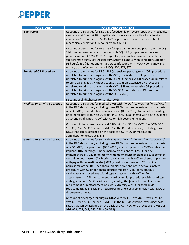

| <b>TARGET AREA</b>                  | <b>TARGET AREA DEFINITION</b>                                                                                                                                                                                                                                                                                                                                                                                                                                                                                                                                                                                                                                                                                                                                                                                                                                                                                                                                                                                                                                                                                                                |  |  |
|-------------------------------------|----------------------------------------------------------------------------------------------------------------------------------------------------------------------------------------------------------------------------------------------------------------------------------------------------------------------------------------------------------------------------------------------------------------------------------------------------------------------------------------------------------------------------------------------------------------------------------------------------------------------------------------------------------------------------------------------------------------------------------------------------------------------------------------------------------------------------------------------------------------------------------------------------------------------------------------------------------------------------------------------------------------------------------------------------------------------------------------------------------------------------------------------|--|--|
| Septicemia                          | N: count of discharges for DRGs 870 (septicemia or severe sepsis with mechanical<br>ventilation >96 hours), 871 (septicemia or severe sepsis without mechanical<br>ventilation >96 hours with MCC), 872 (septicemia or severe sepsis without<br>mechanical ventilation >96 hours without MCC)                                                                                                                                                                                                                                                                                                                                                                                                                                                                                                                                                                                                                                                                                                                                                                                                                                                |  |  |
|                                     | D: count of discharges for DRGs 193 (simple pneumonia and pleurisy with MCC),<br>194 (simple pneumonia and pleurisy with CC), 195 (simple pneumonia and<br>pleurisy without CC/MCC), 207 (respiratory system diagnosis with ventilator<br>support >96 hours), 208 (respiratory system diagnosis with ventilator support <<br>96 hours), 689 (kidney and urinary tract infections with MCC), 690 (kidney and<br>urinary tract infections without MCC), 870, 871, 872                                                                                                                                                                                                                                                                                                                                                                                                                                                                                                                                                                                                                                                                          |  |  |
| <b>Unrelated OR Procedure</b>       | N: count of discharges for DRGs 981 (extensive operating room [OR] procedure<br>unrelated to principal diagnosis with MCC), 982 (extensive OR procedure<br>unrelated to principal diagnosis with CC), 983 (extensive OR procedure unrelated<br>to principal diagnosis without CC/MCC), 987 (non-extensive OR procedure<br>unrelated to principal diagnosis with MCC), 988 (non-extensive OR procedure<br>unrelated to principal diagnosis with CC), 989 (non-extensive OR procedure<br>unrelated to principal diagnosis without CC/MCC)<br>D: count of all discharges for surgical DRGs                                                                                                                                                                                                                                                                                                                                                                                                                                                                                                                                                      |  |  |
| <b>Medical DRGs with CC or MCC</b>  | N: count of discharges for medical DRGs with "w CC," "w MCC," or "w CC/MCC"                                                                                                                                                                                                                                                                                                                                                                                                                                                                                                                                                                                                                                                                                                                                                                                                                                                                                                                                                                                                                                                                  |  |  |
|                                     | in the DRG description, excluding those DRGs that can be assigned on the basis<br>of a CC, MCC, or medication administration (DRGs 065 [intracranial hemorrhage<br>or cerebral infarction with CC or tPA in 24 hrs.], 838 [chemo with acute leukemia<br>as secondary diagnosis (SDX) with CC or high dose chemo agent])                                                                                                                                                                                                                                                                                                                                                                                                                                                                                                                                                                                                                                                                                                                                                                                                                      |  |  |
|                                     | D: count of discharges for medical DRGs with "w CC," "w MCC," "w CC/MCC,"<br>"wo CC," "wo MCC," or "wo CC/MCC" in the DRG description, excluding those<br>DRGs that can be assigned on the basis of a CC, MCC, or medication<br>administration (DRGs 065, 838)                                                                                                                                                                                                                                                                                                                                                                                                                                                                                                                                                                                                                                                                                                                                                                                                                                                                               |  |  |
| <b>Surgical DRGs with CC or MCC</b> | N: count of discharges for surgical DRGs with "w CC," "w MCC," or "w CC/MCC"<br>in the DRG description, excluding those DRGs that can be assigned on the basis<br>of a CC, MCC, or a procedure (DRGs 005 [liver transplant with MCC or intestinal<br>implant], 016 [autologous bone marrow transplant w CC/MCC or t-cell<br>immunotherapy], 023 [craniotomy with major device implant or acute complex<br>central nervous system (CNS) principal diagnosis with MCC or chemo implant or<br>epilepsy with neurostimulator], 029 [spinal procedures with CC or spinal<br>neurostimulators], 041 [peripheral/cranial nerve and other nervous system<br>procedure with CC or peripheral neurostimulator], 246 [percutaneous<br>cardiovascular procedures with drug-eluting stent with MCC or 4+<br>arteries/stents], 248 [percutaneous cardiovascular procedures with non-drug-<br>eluting stent with MCC or 4+ arteries/stents], 469 [major hip and knee joint<br>replacement or reattachment of lower extremity w MCC or total ankle<br>replacement], 518 [Back and neck procedures except spinal fusion with MCC or<br>disc/neurostimulator]) |  |  |
|                                     | D: count of discharges for surgical DRGs with "w CC," "w MCC," "w CC/MCC,"<br>"wo CC," "wo MCC," or "wo CC/MCC" in the DRG description, excluding those<br>DRGs that can be assigned on the basis of a CC, MCC, or a procedure (DRGs 005,<br>016, 023, 029, 041, 246, 248, 469, 518)                                                                                                                                                                                                                                                                                                                                                                                                                                                                                                                                                                                                                                                                                                                                                                                                                                                         |  |  |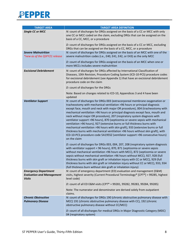

| <b>TARGET AREA</b>                                                               | <b>TARGET AREA DEFINITION</b>                                                                                                                                                                                                                                                                                                                                                                                                                                                                                                                                                                                                                                                                                                                                                                                                                |  |  |
|----------------------------------------------------------------------------------|----------------------------------------------------------------------------------------------------------------------------------------------------------------------------------------------------------------------------------------------------------------------------------------------------------------------------------------------------------------------------------------------------------------------------------------------------------------------------------------------------------------------------------------------------------------------------------------------------------------------------------------------------------------------------------------------------------------------------------------------------------------------------------------------------------------------------------------------|--|--|
| <b>Single CC or MCC</b>                                                          | N: count of discharges for DRGs assigned on the basis of a CC or MCC with only<br>one CC or MCC coded on the claim, excluding DRGs that can be assigned on the<br>basis of a CC, MCC, or a procedure                                                                                                                                                                                                                                                                                                                                                                                                                                                                                                                                                                                                                                         |  |  |
|                                                                                  | D: count of discharges for DRGs assigned on the basis of a CC or MCC, excluding<br>DRGs that can be assigned on the basis of a CC, MCC, or a procedure                                                                                                                                                                                                                                                                                                                                                                                                                                                                                                                                                                                                                                                                                       |  |  |
| <b>Severe Malnutrition</b><br>*new as of the Q3FY21 release                      | N: count of discharges for DRGs assigned on the basis of an MCC with one of the<br>severe malnutrition codes (i.e., E40, E41, E42, or E43) as the only MCC                                                                                                                                                                                                                                                                                                                                                                                                                                                                                                                                                                                                                                                                                   |  |  |
|                                                                                  | D: count of discharges for DRGs assigned on the basis of an MCC when one or<br>more MCCs includes severe malnutrition                                                                                                                                                                                                                                                                                                                                                                                                                                                                                                                                                                                                                                                                                                                        |  |  |
| <b>Excisional Debridement</b>                                                    | N: count of discharges for DRGs affected by International Classification of<br>Diseases, 10th Revision, Procedure Coding System (ICD-10-PCS) procedure codes<br>for excisional debridement (see Appendix 1) that have an excisional debridement<br>procedure code on the claim                                                                                                                                                                                                                                                                                                                                                                                                                                                                                                                                                               |  |  |
|                                                                                  | D: count of discharges for the DRGs                                                                                                                                                                                                                                                                                                                                                                                                                                                                                                                                                                                                                                                                                                                                                                                                          |  |  |
|                                                                                  | Note: Based on changes related to ICD-10, Appendices 3 and 4 have been<br>updated                                                                                                                                                                                                                                                                                                                                                                                                                                                                                                                                                                                                                                                                                                                                                            |  |  |
| <b>Ventilator Support</b>                                                        | N: count of discharges for DRGs 003 (extracorporeal membrane oxygenation or<br>tracheostomy with mechanical ventilation >96 hours or principal diagnosis<br>except face, mouth and neck with major OR procedure), 004 (tracheostomy with<br>mechanical ventilation >96 hours or principal diagnosis except face, mouth and<br>neck without major OR procedure), 207 (respiratory system diagnosis with<br>ventilator support >96 hours), 870 (septicemia or severe sepsis with mechanical<br>ventilation >96 hours), 927 (extensive burns or full thickness burns with<br>mechanical ventilation >96 hours with skin graft), 933 (extensive burns or full<br>thickness burns with mechanical ventilation >96 hours without skin graft), with<br>ICD-10-PCS procedure code 5A1955Z (ventilator support >96 consecutive hours)<br>on the claim |  |  |
|                                                                                  | D: count of discharges for DRGs 003, 004, 207, 208 (respiratory system diagnosis<br>with ventilator support < 96 hours), 870, 871 (septicemia or severe sepsis<br>without mechanical ventilation >96 hours with MCC), 872 (septicemia or severe<br>sepsis without mechanical ventilation >96 hours without MCC), 927, 928 (full<br>thickness burns with skin graft or inhalation injury with CC or MCC), 929 (full<br>thickness burns with skin graft or inhalation injury without CC or MCC), 933, 934<br>(full thickness burn without skin graft or inhalation injury)                                                                                                                                                                                                                                                                     |  |  |
| <b>Emergency Department</b><br><b>Evaluation and Management</b><br><b>Visits</b> | N: count of emergency department (ED) evaluation and management (E&M)<br>visits, highest severity (Current Procedural Terminology® [CPT®] = 99285, highest<br>level code)                                                                                                                                                                                                                                                                                                                                                                                                                                                                                                                                                                                                                                                                    |  |  |
|                                                                                  | D: count of all ED E&M visits (CPT® = 99281, 99282, 99283, 99284, 99285)                                                                                                                                                                                                                                                                                                                                                                                                                                                                                                                                                                                                                                                                                                                                                                     |  |  |
|                                                                                  | Note: The numerator and denominator are derived solely from outpatient<br>claims.                                                                                                                                                                                                                                                                                                                                                                                                                                                                                                                                                                                                                                                                                                                                                            |  |  |
| <b>Chronic Obstructive</b>                                                       | N: count of discharges for DRGs 190 (chronic obstructive pulmonary disease with                                                                                                                                                                                                                                                                                                                                                                                                                                                                                                                                                                                                                                                                                                                                                              |  |  |
| <b>Pulmonary Disease</b>                                                         | MCC) 191 (chronic obstructive pulmonary disease with CC), 192 (chronic<br>obstructive pulmonary disease without CC/MCC)                                                                                                                                                                                                                                                                                                                                                                                                                                                                                                                                                                                                                                                                                                                      |  |  |
|                                                                                  | D: count of all discharges for medical DRGs in Major Diagnostic Category (MDC)<br>04 (respiratory system)                                                                                                                                                                                                                                                                                                                                                                                                                                                                                                                                                                                                                                                                                                                                    |  |  |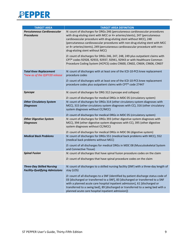

| <b>TARGET AREA</b>                                                        | <b>TARGET AREA DEFINITION</b>                                                                                                                                                                                                                                                                                                                                                                                                                                                                                                                                                                                                                                             |  |  |
|---------------------------------------------------------------------------|---------------------------------------------------------------------------------------------------------------------------------------------------------------------------------------------------------------------------------------------------------------------------------------------------------------------------------------------------------------------------------------------------------------------------------------------------------------------------------------------------------------------------------------------------------------------------------------------------------------------------------------------------------------------------|--|--|
| <b>Percutaneous Cardiovascular</b><br><b>Procedures</b>                   | N: count of discharges for DRGs 246 (percutaneous cardiovascular procedures<br>with drug-eluting stent with MCC or 4+ arteries/stents), 247 (percutaneous<br>cardiovascular procedure with drug-eluting stent without MCC), 248<br>(percutaneous cardiovascular procedures with non-drug eluting stent with MCC<br>or 4+ arteries/stents), 249 (percutaneous cardiovascular procedure with non-<br>drug-eluting stent without MCC)<br>D: count of discharges for DRGs 246, 247, 248, 249 plus outpatient claims with<br>CPT® codes 92928, 92933, 92937, 92941, 92943 or with Healthcare Common<br>Procedure Coding System (HCPCS) codes C9600, C9602, C9604, C9606, C9607 |  |  |
| <b>Total Knee Replacement</b><br>*new as of the Q3FY20 release            | N: count of discharges with at least one of the ICD-10-PCS knee replacement<br>procedure codes<br>D: count of discharges with at least one of the ICD-10-PCS knee replacement<br>procedure codes plus outpatient claims with CPT® code 27447                                                                                                                                                                                                                                                                                                                                                                                                                              |  |  |
| <b>Syncope</b>                                                            | N: count of discharges for DRG 312 (syncope and collapse)<br>D: count of discharges for medical DRGs in MDC 05 (circulatory system)                                                                                                                                                                                                                                                                                                                                                                                                                                                                                                                                       |  |  |
| <b>Other Circulatory System</b><br><b>Diagnoses</b>                       | N: count of discharges for DRGs 314 (other circulatory system diagnoses with<br>MCC), 315 (other circulatory system diagnoses with CC), 316 (other circulatory<br>system diagnoses without CC/MCC)<br>D: count of discharges for medical DRGs in MDC 05 (circulatory system)                                                                                                                                                                                                                                                                                                                                                                                              |  |  |
| <b>Other Digestive System</b><br><b>Diagnoses</b>                         | N: count of discharges for DRGs 393 (other digestive system diagnoses with<br>MCC), 394 (other digestive system diagnoses with CC), 395 (other digestive<br>system diagnoses without CC/MCC)<br>D: count of discharges for medical DRGs in MDC 06 (digestive system)                                                                                                                                                                                                                                                                                                                                                                                                      |  |  |
| <b>Medical Back Problems</b>                                              | N: count of discharges for DRGs 551 (medical back problems with MCC), 552<br>(medical back problems without MCC)<br>D: count of all discharges for medical DRGs in MDC 08 (Musculoskeletal System<br>and Connective Tissue)                                                                                                                                                                                                                                                                                                                                                                                                                                               |  |  |
| <b>Spinal Fusion</b>                                                      | N: count of discharges that have spinal fusion procedure codes on the claim<br>D: count of discharges that have spinal procedure codes on the claim                                                                                                                                                                                                                                                                                                                                                                                                                                                                                                                       |  |  |
| <b>Three-Day Skilled Nursing</b><br><b>Facility-Qualifying Admissions</b> | N: count of discharges to a skilled nursing facility (SNF) with a three-day length of<br>stay (LOS)<br>D: count of all discharges to a SNF (identified by patient discharge status code of<br>03 [discharged or transferred to a SNF], 83 [discharged or transferred to a SNF<br>with a planned acute care hospital inpatient admission], 61 [discharged or<br>transferred to a swing bed], 89 [discharged or transferred to a swing bed with a<br>planned acute care hospital inpatient admission])                                                                                                                                                                      |  |  |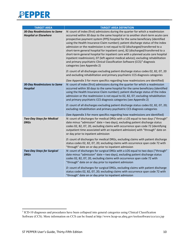

| <b>TARGET AREA</b>                                                 | <b>TARGET AREA DEFINITION</b>                                                                                                                                                                                                                                                                                                                                                                                                                                                                                                                                                                                                                                                                                                                                                                                                                                                                                                                                                          |  |
|--------------------------------------------------------------------|----------------------------------------------------------------------------------------------------------------------------------------------------------------------------------------------------------------------------------------------------------------------------------------------------------------------------------------------------------------------------------------------------------------------------------------------------------------------------------------------------------------------------------------------------------------------------------------------------------------------------------------------------------------------------------------------------------------------------------------------------------------------------------------------------------------------------------------------------------------------------------------------------------------------------------------------------------------------------------------|--|
| <b>30-Day Readmissions to Same</b><br><b>Hospital or Elsewhere</b> | N: count of index (first) admissions during the quarter for which a readmission<br>occurred within 30 days to the same hospital or to another short-term acute care<br>prospective payment system (PPS) hospital for the same beneficiary (identified<br>using the Health Insurance Claim number); patient discharge status of the index<br>admission or the readmission is not equal to 02 (discharged/transferred to a<br>short-term general hospital for inpatient care), 82 (discharged/transferred to a<br>short-term general hospital for inpatient care with a planned acute care hospital<br>inpatient readmission), 07 (left against medical advice); excluding rehabilitation<br>and primary psychiatric Clinical Classification Software (CCS) <sup>3</sup> diagnosis<br>categories (see Appendix 2)<br>D: count of all discharges excluding patient discharge status codes 02, 82, 07, 20<br>and excluding rehabilitation and primary psychiatric CCS diagnosis categories |  |
| <b>30-Day Readmissions to Same</b>                                 | (See Appendix 3 for more specifics regarding how readmissions are identified)<br>N: count of index (first) admissions during the quarter for which a readmission                                                                                                                                                                                                                                                                                                                                                                                                                                                                                                                                                                                                                                                                                                                                                                                                                       |  |
| <b>Hospital</b>                                                    | occurred within 30 days to the same hospital for the same beneficiary (identified<br>using the Health Insurance Claim number); patient discharge status of the index<br>admission or the readmission is not equal to 02, 82, 07; excluding rehabilitation<br>and primary psychiatric CCS diagnosis categories (see Appendix 2)                                                                                                                                                                                                                                                                                                                                                                                                                                                                                                                                                                                                                                                         |  |
|                                                                    | D: count of all discharges excluding patient discharge status codes 02, 82, 07, 20;<br>excluding rehabilitation and primary psychiatric CCS diagnosis categories                                                                                                                                                                                                                                                                                                                                                                                                                                                                                                                                                                                                                                                                                                                                                                                                                       |  |
| <b>Two-Day Stays for Medical</b><br><b>DRGs</b>                    | (See Appendix 3 for more specifics regarding how readmissions are identified)<br>N: count of discharges for medical DRGs with a LOS equal to two days ("through"<br>date minus "admission" date = two days), excluding patient discharge status<br>codes 02, 82, 07, 20, excluding claims with occurrence span code 72 (identifying<br>outpatient time associated with an inpatient admission) with "through" date on<br>or day prior to inpatient admission                                                                                                                                                                                                                                                                                                                                                                                                                                                                                                                           |  |
|                                                                    | D: count of discharges for medical DRGs, excluding claims with patient discharge<br>status codes 02, 82, 07, 20; excluding claims with occurrence span code 72 with<br>"through" date on or day prior to inpatient admission                                                                                                                                                                                                                                                                                                                                                                                                                                                                                                                                                                                                                                                                                                                                                           |  |
| <b>Two-Day Stays for Surgical</b><br><b>DRGs</b>                   | N: count of discharges for surgical DRGs with a LOS equal to two days ("through"<br>date minus "admission" date = two days), excluding patient discharge status<br>codes 02, 82, 07, 20, excluding claims with occurrence span code 72 with<br>"through" date on or day prior to inpatient admission                                                                                                                                                                                                                                                                                                                                                                                                                                                                                                                                                                                                                                                                                   |  |
|                                                                    | D: count of discharges for surgical DRGs, excluding claims with patient discharge<br>status codes 02, 82, 07, 20; excluding claims with occurrence span code 72 with<br>"through" date on or day prior to inpatient admission                                                                                                                                                                                                                                                                                                                                                                                                                                                                                                                                                                                                                                                                                                                                                          |  |

 $\overline{a}$ 

<span id="page-9-0"></span><sup>&</sup>lt;sup>3</sup> ICD-10 diagnoses and procedures have been collapsed into general categories using Clinical Classification Software (CCS). More information on CCS can be found at http://www.hcup-us.ahrq.gov/toolssoftware/ccs/ccs.jsp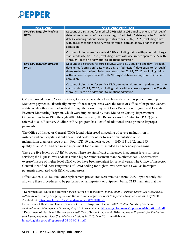

| <b>TARGET AREA</b>                               | <b>TARGET AREA DEFINITION</b>                                                                                                                                                                                                                                                                                                                      |  |  |
|--------------------------------------------------|----------------------------------------------------------------------------------------------------------------------------------------------------------------------------------------------------------------------------------------------------------------------------------------------------------------------------------------------------|--|--|
| <b>One-Day Stays for Medical</b><br><b>DRGs</b>  | N: count of discharges for medical DRGs with a LOS equal to one day ("through"<br>date minus "admission" date = one day, or "admission" date equal to "through"<br>date), excluding patient discharge status codes 02, 82, 07, 20, excluding claims<br>with occurrence span code 72 with "through" date on or day prior to inpatient<br>admission  |  |  |
|                                                  | D: count of discharges for medical DRGs excluding claims with patient discharge<br>status codes 02, 82, 07, 20; excluding claims with occurrence span code 72 with<br>"through" date on or day prior to inpatient admission                                                                                                                        |  |  |
| <b>One-Day Stays for Surgical</b><br><b>DRGs</b> | N: count of discharges for surgical DRGs with a LOS equal to one day ("through"<br>date minus "admission" date = one day, or "admission" date equal to "through"<br>date), excluding patient discharge status codes 02, 82, 07, 20, excluding claims<br>with occurrence span code 72 with "through" date on or day prior to inpatient<br>admission |  |  |
|                                                  | D: count of discharges for surgical DRGs, excluding claims with patient discharge<br>status codes 02, 82, 07, 20; excluding claims with occurrence span code 72 with<br>"through" date on or day prior to inpatient admission                                                                                                                      |  |  |

CMS approved these *ST PEPPER* target areas because they have been identified as prone to improper Medicare payments. Historically, many of these target areas were the focus of Office of Inspector General audits, while others were identified through the former Payment Error Prevention Program and Hospital Payment Monitoring Program, which were implemented by state Medicare Quality Improvement Organizations from 1999 through 2008. More recently, the Recovery Audit Contractor (RAC) (now referred to as a Recovery Auditor or RA) program has identified additional areas prone to improper payments.

The Office of Inspector General (OIG) found widespread miscoding of severe malnutrition in instances where hospitals should have used codes for other forms of malnutrition or no malnutrition diagnosis code at all.<sup>4</sup> Four ICD-10 diagnosis codes — E40, E41, E42, and E43 qualify as an MCC and can raise the payment for a claim if included as a secondary diagnosis.

There are five levels of ED E&M codes. There are significant differences in payment levels for these services; the highest level code has much higher reimbursement than the other codes. Concerns with overuse/misuse of higher level E&M codes have been prevalent for several years. The Office of Inspector General identified increasing trends of E&M coding for higher-level services<sup>[4](#page-10-0)</sup> as well as improper payments associated with E&M coding errors.<sup>[5](#page-10-1)</sup>

Effective Jan. 1, 2018, total knee replacement procedures were removed from CMS' inpatient only list, allowing these procedures to be performed on an inpatient or outpatient basis. CMS maintains that the

<span id="page-10-0"></span> $\ddot{\phantom{a}}$ <sup>4</sup> Department of Health and Human Services/Office of Inspector General. 2020. *Hospitals Overbilled Medicare \$1 Billion by Incorrectly Assigning Severe Malnutrition Diagnosis Codes to Inpatient Hospital Claims,* July 2020. Available at: <https://oig.hhs.gov/oas/reports/region3/31700010.pdf>

Department of Health and Human Services/Office of Inspector General. 2012. *Coding Trends of Medicare*  Evaluation and Management Services, May 2012. Available at: https://oig.hhs.gov/oei/reports/oei-04-10-00180.pdf<br><sup>5</sup> Department of Health and Human Services/Office of Inspector General. 2014. Improper Payments for Evaluatio

<span id="page-10-1"></span>*and Management Services Cost Medicare Billions in 2010*, May 2014. Available at: <https://oig.hhs.gov/oei/reports/oei-04-10-00181.pdf>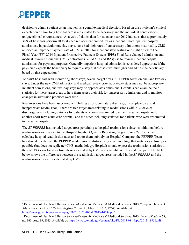decision to admit a patient as an inpatient is a complex medical decision, based on the physician's clinical expectation of how long hospital care is anticipated to be necessary and the individual beneficiary's unique clinical circumstances. Analysis of claims data for calendar year 2019 indicates that approximately 30% of hospitals perform all total knee replacement procedures as inpatient. Short inpatient hospital admissions, in particular one-day stays, have had high rates of unnecessary admissions historically. CMS reported an improper payment rate of 3[6](#page-11-0)% in 2012 for inpatient stays lasting one night or less.<sup>6</sup> The Fiscal Year (FY) 2014 Inpatient Prospective Payment System (IPPS) Final Rule changed admission and medical review criteria that CMS contractors (i.e., MACs and RAs) use to review inpatient hospital admissions for payment purposes. Generally, inpatient hospital admission is considered appropriate if the physician expects the beneficiary to require a stay that crosses two midnights and admits the beneficiary based on that expectation.<sup>[7](#page-11-1)</sup>

To assist hospitals with monitoring short stays, several target areas in PEPPER focus on one- and two-day stays. Under the new CMS admission and medical review criteria, one-day stays may not be appropriate inpatient admissions, and two-day stays may be appropriate admissions. Hospitals can examine their statistics for these target areas to help them assess their risk for unnecessary admissions and to monitor changes in admission practices over time.

Readmissions have been associated with billing errors, premature discharge, incomplete care, and inappropriate readmission. There are two target areas relating to readmissions within 30 days of discharge: one including statistics for patients who were readmitted to either the same hospital or to another short-term acute care hospital, and the other including statistics for patients who were readmitted to the same hospital.

The *ST PEPPER* has included target areas pertaining to hospital readmissions since its initiation, before readmissions were added to the Hospital Inpatient Quality Reporting Program. As CMS began to calculate hospital readmission rates and report them publicly on Hospital Compare, the PEPPER Team has strived to calculate the PEPPER readmission statistics using a methodology that matches as closely as possible (but does not replicate) CMS' methodology. Hospitals should expect the readmission statistics in their *ST PEPPER* to differ from those calculated by CMS and available on Hospital Compare. The table below shows the differences between the readmission target areas included in the *ST PEPPER* and the readmissions measures calculated by CMS.

<span id="page-11-0"></span> $\overline{a}$ <sup>6</sup> Department of Health and Human Services/Centers for Medicare & Medicaid Services. 2013. "Proposed Inpatient Admission Guidelines," *Federal Register* 78, no. 91, May. 10, 2013, 27647. Available at: <https://www.govinfo.gov/content/pkg/FR-2013-05-10/pdf/2013-10234.pdf>7 Department of Health and Human Services/Centers for Medicare & Medicaid Services. 2013. *Federal Register* 78,

<span id="page-11-1"></span>no. 160, Aug. 19, 2013. Available at:<https://www.govinfo.gov/content/pkg/FR-2013-08-19/pdf/2013-18956.pdf>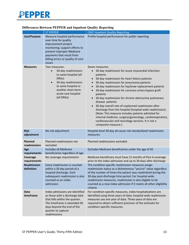

|                                  | <b>ST PEPPER</b>                                                                                                                                                                                                        | <b>CMS' Inpatient Quality Reporting</b>                                                                                                                                                                                                                                                                                                                                                                                                                                                                                                                                                                                                                                                                               |  |
|----------------------------------|-------------------------------------------------------------------------------------------------------------------------------------------------------------------------------------------------------------------------|-----------------------------------------------------------------------------------------------------------------------------------------------------------------------------------------------------------------------------------------------------------------------------------------------------------------------------------------------------------------------------------------------------------------------------------------------------------------------------------------------------------------------------------------------------------------------------------------------------------------------------------------------------------------------------------------------------------------------|--|
| <b>Use/Purpose</b>               | Measure hospital performance<br>over time for quality<br>improvement project<br>monitoring; support efforts to<br>prevent improper Medicare<br>payments that result from<br>billing errors or quality of care<br>issues | Profile hospital performance for public reporting                                                                                                                                                                                                                                                                                                                                                                                                                                                                                                                                                                                                                                                                     |  |
| <b>Measures</b>                  | Two measures:<br>30-day readmissions<br>to same hospital (all<br>DRGs)<br>30-day readmissions<br>$\bullet$<br>to same hospital or<br>another short-term<br>acute care hospital<br>(all DRGs)                            | Seven measures:<br>30-day readmission for acute myocardial infarction<br>patients<br>30-day readmission for heart failure patients<br>30-day readmission for pneumonia patients<br>$\bullet$<br>30-day readmission for hip/knee replacement patients<br>30-day readmission for coronary artery bypass graft<br>patients<br>30-day readmission for chronic obstructive pulmonary<br>disease patients<br>30-day overall rate of unplanned readmission after<br>discharge from the hospital (hospital-wide readmission).<br>(Note: This measure includes patients admitted for<br>internal medicine, surgery/gynecology, cardiorespiratory,<br>cardiovascular and neurology services. It is not a<br>composite measure.) |  |
| <b>Risk</b><br>adjustment        | No risk adjustment                                                                                                                                                                                                      | Hospital-level 30-day all-cause risk standardized readmission<br>measures                                                                                                                                                                                                                                                                                                                                                                                                                                                                                                                                                                                                                                             |  |
| <b>Planned</b><br>readmissions   | Planned readmissions not<br>excluded                                                                                                                                                                                    | Planned readmissions excluded                                                                                                                                                                                                                                                                                                                                                                                                                                                                                                                                                                                                                                                                                         |  |
| Age<br>requirements              | <b>Includes all Medicare</b><br>beneficiaries regardless of age                                                                                                                                                         | Excludes Medicare beneficiaries under the age of 65                                                                                                                                                                                                                                                                                                                                                                                                                                                                                                                                                                                                                                                                   |  |
| Coverage<br>requirements         | No coverage requirements                                                                                                                                                                                                | Medicare beneficiary must have 12 months of Part A coverage<br>prior to the index admission and up to 30 days after discharge.                                                                                                                                                                                                                                                                                                                                                                                                                                                                                                                                                                                        |  |
| <b>Readmission</b><br>definition | Every readmission is counted<br>within a 30 day period of a<br>hospital discharge. Each<br>subsequent readmission is also<br>counted as an index<br>admission.                                                          | The condition-specific readmission measures assign<br>readmission status as a dichotomous "yes/no" value regardless<br>of the number of times the patient was readmitted during the<br>30-day post-discharge time period. For hospital-wide<br>readmission measures, readmission is also eligible to be<br>counted as a new index admission if it meets all other eligibility<br>criteria.                                                                                                                                                                                                                                                                                                                            |  |
| <b>Data</b><br>timeframe         | Index admissions are identified<br>as those with a discharge date<br>that falls within the quarter.<br>The timeframe is extended 30<br>days beyond the end of the<br>quarter to capture<br>readmissions.                | For condition-specific measures, index hospitalizations are<br>identified using three years of data; hospital-wide readmission<br>measures use one year of data. Three years of data are<br>required to obtain sufficient precision of the estimate for<br>condition-specific measures.                                                                                                                                                                                                                                                                                                                                                                                                                               |  |

#### **Differences Between PEPPER and Inpatient Quality Reporting**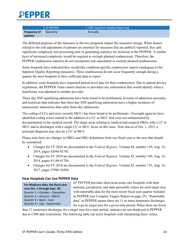

|                     | $ST$ PEPPER | <b>CMS' Inpatient Quality Reporting</b> |
|---------------------|-------------|-----------------------------------------|
| <b>Frequency of</b> | Quarterly   | Annually                                |
| updates             |             |                                         |

The different purposes of the measures in the two programs impact the measures' design. While factors related to the risk-adjustment of patients are essential for measures that are publicly reported, they add significant complexity and processing time to generating statistics for inclusion in the PEPPER. A similar layer of increased complexity would be required to exclude planned readmissions. Therefore, the PEPPER readmission statistics do not incorporate risk adjustment or exclude planned readmissions.

Some hospitals have indicated they would like condition-specific readmission reports (analogous to the Inpatient Quality Reporting measures). These readmissions do not occur frequently enough during a quarter for most hospitals to have sufficient data to report.

In addition, some hospitals have requested patient-level data for their readmissions. Due to patient privacy regulations, the PEPPER Team cannot disclose to providers any information that would identify when a beneficiary was admitted to another provider.

Three-day SNF-qualifying admissions have been found to be problematic in terms of admission necessity, and historical data indicates that three-day SNF-qualifying admissions have a higher incidence of unnecessary admissions than other three-day admissions.

The coding of CCs and more recently MCCs has been found to be problematic. Oversight agencies have identified coding errors related to the addition of a CC or MCC that were not substantiated by documentation in the medical record. The target areas relating to medical and surgical DRGs with a CC or MCC and to discharges with a single CC or MCC focus on this issue. Note that as of Oct. 1, 2015, a principal diagnosis may also be a CC or MCC.

Please note there are changes in DRGs and DRG definitions from one fiscal year to the next that should be considered:

- Changes for FY 2020 are documented in the *Federal Register*, Volume 84, number 159, Aug. 16, 2019, pages 42044-42701.
- Changes for FY 2019 are documented in the *Federal Register*, Volume 83, number 160, Aug. 16, 2018, pages 41144-41784.
- Changes for FY 2018 are documented in the *Federal Register*, Volume 82, number 155, Aug. 14, 2017, pages 37990-38589.

#### <span id="page-13-0"></span>**How Hospitals Can Use PEPPER Data**

**For Medicare data, the fiscal year runs Oct. 1 through Sept. 30:** Quarter 1 = October – December Quarter 2 = January – March Quarter 3 = April – June Quarter 4 = July – September

*ST PEPPER* provides short-term acute care hospitals with their national, jurisdiction, and state percentile values for each target area with reportable data for the most recent fiscal year quarter included in PEPPER (see Compare Targets Report on page 23). "Reportable data" in PEPPER means there are 11 or more numerator discharges for a given target area for a given time period. When there are fewer

than 11 numerator discharges for a target area for a time period, statistics are not displayed in PEPPER due to CMS data restrictions. The following table can assist hospitals with interpreting these values.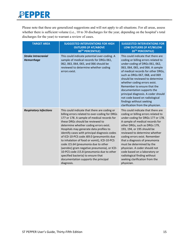Please note that these are generalized suggestions and will not apply to all situations. For all areas, assess whether there is sufficient volume (i.e., 10 to 30 discharges for the year, depending on the hospital's total discharges for the year) to warrant a review of cases.

| <b>TARGET AREA</b>                              | <b>SUGGESTED INTERVENTIONS FOR HIGH</b><br><b>OUTLIERS (IF AT/ABOVE</b><br>80 <sup>TH</sup> PERCENTILE)                                                                                                                                                                                                                                                                                                                                                                                                                                                                                                                                            | <b>SUGGESTED INTERVENTIONS FOR</b><br>LOW OUTLIERS (IF AT/BELOW<br>20TH PERCENTILE)                                                                                                                                                                                                                                                                                                                                                                                                                |
|-------------------------------------------------|----------------------------------------------------------------------------------------------------------------------------------------------------------------------------------------------------------------------------------------------------------------------------------------------------------------------------------------------------------------------------------------------------------------------------------------------------------------------------------------------------------------------------------------------------------------------------------------------------------------------------------------------------|----------------------------------------------------------------------------------------------------------------------------------------------------------------------------------------------------------------------------------------------------------------------------------------------------------------------------------------------------------------------------------------------------------------------------------------------------------------------------------------------------|
| <b>Stroke Intracranial</b><br><b>Hemorrhage</b> | This could indicate potential over-coding. A<br>sample of medical records for DRGs 061,<br>062, 063, 064, 065, and 066 should be<br>reviewed to determine whether coding<br>errors exist.                                                                                                                                                                                                                                                                                                                                                                                                                                                          | This could indicate that there are<br>coding or billing errors related to<br>under-coding of DRGs 061, 062,<br>063, 064, 065, and 066. A sample<br>of medical records for other DRGs,<br>such as DRGs 067, 068, and 069<br>should be reviewed to determine<br>whether coding errors exist.<br>Remember to ensure that the<br>documentation supports the<br>principal diagnosis. A coder should<br>not code based on radiological<br>findings without seeking<br>clarification from the physician.  |
| <b>Respiratory Infections</b>                   | This could indicate that there are coding or<br>billing errors related to over-coding for DRGs<br>177 or 178. A sample of medical records for<br>these DRGs should be reviewed to<br>determine whether coding errors exist.<br>Hospitals may generate data profiles to<br>identify cases with principal diagnosis codes<br>of ICD-10-PCS code J69.0 (pneumonitis due<br>to inhalation of food or vomit), ICD-10-PCS<br>code J15.64 (pneumonia due to other<br>(aerobic) gram negative pneumonia), or ICD-<br>10-PCS code J15.8 (pneumonia due to other<br>specified bacteria) to ensure that<br>documentation supports the principal<br>diagnosis. | This could indicate that there are<br>coding or billing errors related to<br>under-coding for DRGs 177 or 178.<br>A sample of medical records for<br>other DRGs, such as DRGs 179,<br>193, 194, or 195 should be<br>reviewed to determine whether<br>coding errors exist. Remember<br>that a diagnosis of pneumonia<br>must be determined by the<br>physician. A coder should not<br>code based on a laboratory or<br>radiological finding without<br>seeking clarification from the<br>physician. |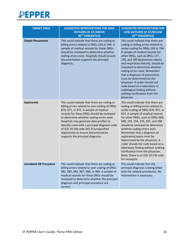

| <b>TARGET AREA</b>      | <b>SUGGESTED INTERVENTIONS FOR HIGH</b><br><b>OUTLIERS (IF AT/ABOVE</b><br>80TH PERCENTILE)                                                                                                                                                                                                                                                                                                                                                       | <b>SUGGESTED INTERVENTIONS FOR</b><br>LOW OUTLIERS (IF AT/BELOW<br>20TH PERCENTILE)                                                                                                                                                                                                                                                                                                                                                                                                                                                                                |
|-------------------------|---------------------------------------------------------------------------------------------------------------------------------------------------------------------------------------------------------------------------------------------------------------------------------------------------------------------------------------------------------------------------------------------------------------------------------------------------|--------------------------------------------------------------------------------------------------------------------------------------------------------------------------------------------------------------------------------------------------------------------------------------------------------------------------------------------------------------------------------------------------------------------------------------------------------------------------------------------------------------------------------------------------------------------|
| <b>Simple Pneumonia</b> | This could indicate that there are coding or<br>billing errors related to DRGs 193 or 194. A<br>sample of medical records for these DRGs<br>should be reviewed to determine whether<br>coding errors exist. Hospitals should ensure<br>documentation supports the principal<br>diagnosis.                                                                                                                                                         | This could indicate that there are<br>coding or billing errors related to<br>under-coding for DRGs 193 or 194.<br>A sample of medical records for<br>other DRGs, such as DRGs 177,<br>178, and 189 (pulmonary edema<br>and respiratory failure), should be<br>reviewed to determine whether<br>coding errors exist. Remember<br>that a diagnosis of pneumonia<br>must be determined by the<br>physician. A coder should not<br>code based on a laboratory or<br>radiological finding without<br>seeking clarification from the<br>physician.                       |
| Septicemia              | This could indicate that there are coding or<br>billing errors related to over-coding of DRGs<br>870, 871, or 872. A sample of medical<br>records for these DRGs should be reviewed<br>to determine whether coding errors exist.<br>Hospitals may generate data profiles to<br>identify cases with a principal diagnosis code<br>of ICD-10-CM code A41.9 (unspecified<br>septicemia) to ensure documentation<br>supports the principal diagnosis. | This could indicate that there are<br>coding or billing errors related to<br>under-coding of DRGs 870, 871, or<br>872. A sample of medical records<br>for other DRGs, such as DRGs 689,<br>690, 193, 194, 195, 207, and 208<br>should be reviewed to determine<br>whether coding errors exist.<br>Remember that a diagnosis of<br>septicemia/sepsis must be<br>determined by the physician. A<br>coder should not code based on a<br>laboratory finding without seeking<br>clarification from the physician.<br>Note: There is no ICD-10-CM code<br>for urosepsis. |
| Unrelated OR Procedure  | This could indicate that there are coding or<br>billing errors related to over-coding of DRGs<br>981, 982, 983, 987, 988, or 989. A sample of<br>medical records for these DRGs should be<br>reviewed to determine whether the principal<br>diagnosis and principal procedure are<br>correct.                                                                                                                                                     | This could indicate that the<br>principal diagnosis is being billed<br>with the related procedures. No<br>intervention is necessary.                                                                                                                                                                                                                                                                                                                                                                                                                               |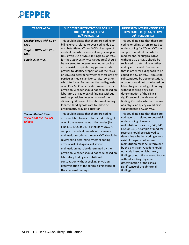

| <b>TARGET AREA</b>                                                                                                       | <b>SUGGESTED INTERVENTIONS FOR HIGH</b><br><b>OUTLIERS (IF AT/ABOVE</b><br>80 <sup>TH</sup> PERCENTILE)                                                                                                                                                                                                                                                                                                                                                                                                                                                                                                                                                                                                                                                                                                                                                                                    | <b>SUGGESTED INTERVENTIONS FOR</b><br>LOW OUTLIERS (IF AT/BELOW<br>20TH PERCENTILE)                                                                                                                                                                                                                                                                                                                                                                                                                                                                                                                                                                                           |  |
|--------------------------------------------------------------------------------------------------------------------------|--------------------------------------------------------------------------------------------------------------------------------------------------------------------------------------------------------------------------------------------------------------------------------------------------------------------------------------------------------------------------------------------------------------------------------------------------------------------------------------------------------------------------------------------------------------------------------------------------------------------------------------------------------------------------------------------------------------------------------------------------------------------------------------------------------------------------------------------------------------------------------------------|-------------------------------------------------------------------------------------------------------------------------------------------------------------------------------------------------------------------------------------------------------------------------------------------------------------------------------------------------------------------------------------------------------------------------------------------------------------------------------------------------------------------------------------------------------------------------------------------------------------------------------------------------------------------------------|--|
| <b>Medical DRGs with CC or</b><br><b>MCC</b><br><b>Surgical DRGs with CC or</b><br><b>MCC</b><br><b>Single CC or MCC</b> | This could indicate that there are coding or<br>billing errors related to over-coding due to<br>unsubstantiated CCs or MCCs. A sample of<br>medical records for medical and/or surgical<br>DRGs with CCs or MCCs (a single CC or MCC<br>for the Single CC or MCC target area) should<br>be reviewed to determine whether coding<br>errors exist. Hospitals may generate data<br>profiles to identify proportions of their CCs<br>or MCCs to determine whether there are any<br>particular medical and/or surgical DRGs on<br>which to focus. Remember that a diagnosis<br>of a CC or MCC must be determined by the<br>physician. A coder should not code based on<br>laboratory or radiological findings without<br>seeking physician determination of the<br>clinical significance of the abnormal finding.<br>If particular diagnoses are found to be<br>problematic, provide education. | This could indicate that there are<br>coding or billing errors related to<br>under-coding for CCs or MCCs. A<br>sample of medical records for<br>medical and/or surgical DRGs<br>without a CC or MCC should be<br>reviewed to determine whether<br>coding errors exist. Remember<br>that in order for a diagnosis to be<br>coded as a CC or MCC, it must be<br>substantiated by documentation.<br>A coder should not code based on<br>laboratory or radiological findings<br>without seeking physician<br>determination of the clinical<br>significance of the abnormal<br>finding. Consider whether the use<br>of a physician query would have<br>substantiated a CC or MCC. |  |
| <b>Severe Malnutrition</b><br>*new as of the Q3FY21<br>release                                                           | This could indicate that there are coding<br>errors related to unsubstantiated coding of<br>one of the severe malnutrition codes (i.e.,<br>E40, E41, E42, or E43) as the only MCC. A<br>sample of medical records with a severe<br>malnutrition code as the only MCC should be<br>reviewed to determine whether coding<br>errors exist. A diagnosis of severe<br>malnutrition must be determined by the<br>physician. A coder should not code based on<br>laboratory findings or nutritional<br>consultation without seeking physician<br>determination of the clinical significance of<br>the abnormal findings.                                                                                                                                                                                                                                                                          | This could indicate that there are<br>coding errors related to potential<br>under-coding of severe<br>malnutrition codes (i.e., E40, E41,<br>E42, or E43). A sample of medical<br>records should be reviewed to<br>determine whether coding errors<br>exist. A diagnosis of severe<br>malnutrition must be determined<br>by the physician. A coder should<br>not code based on laboratory<br>findings or nutritional consultation<br>without seeking physician<br>determination of the clinical<br>significance of the abnormal<br>findings.                                                                                                                                  |  |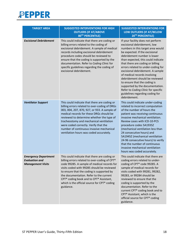

| <b>TARGET AREA</b>                                                               | <b>SUGGESTED INTERVENTIONS FOR HIGH</b><br><b>OUTLIERS (IF AT/ABOVE</b><br>80TH PERCENTILE)                                                                                                                                                                                                                                                                                                                       | <b>SUGGESTED INTERVENTIONS FOR</b><br>LOW OUTLIERS (IF AT/BELOW<br>20TH PERCENTILE)                                                                                                                                                                                                                                                                                                                                                                                                                                                                       |  |  |
|----------------------------------------------------------------------------------|-------------------------------------------------------------------------------------------------------------------------------------------------------------------------------------------------------------------------------------------------------------------------------------------------------------------------------------------------------------------------------------------------------------------|-----------------------------------------------------------------------------------------------------------------------------------------------------------------------------------------------------------------------------------------------------------------------------------------------------------------------------------------------------------------------------------------------------------------------------------------------------------------------------------------------------------------------------------------------------------|--|--|
| <b>Excisional Debridement</b>                                                    | This could indicate that there are coding or<br>billing errors related to the coding of<br>excisional debridement. A sample of medical<br>records including excisional debridement<br>procedure codes should be reviewed to<br>ensure that the coding is supported by the<br>documentation. Refer to Coding Clinic for<br>specific guidelines regarding the coding of<br>excisional debridement.                  | If your facility does not perform<br>excisional debridement, low<br>numbers in this target area would<br>be expected. If the excisional<br>debridement number is lower<br>than expected, this could indicate<br>that there are coding or billing<br>errors related to under-coding for<br>excisional debridement. A sample<br>of medical records involving<br>debridement should be reviewed<br>to ensure that the coding is<br>supported by the documentation.<br>Refer to Coding Clinic for specific<br>guidelines regarding coding for<br>debridement. |  |  |
| <b>Ventilator Support</b>                                                        | This could indicate that there are coding or<br>billing errors related to over-coding of DRGs<br>003, 004, 207, 870, 927, or 933. A sample of<br>medical records for these DRGs should be<br>reviewed to determine whether the type of<br>tracheostomy and mechanical ventilation<br>were coded correctly. Verify that the<br>number of continuous invasive mechanical<br>ventilation hours was coded accurately. | This could indicate under-coding<br>related to incorrect computation<br>of the number of hours the<br>patient was receiving continuous<br>invasive mechanical ventilation.<br>Review cases with ICD-10-PCS<br>procedure codes 5A1935Z<br>(mechanical ventilation less than<br>24 consecutive hours) and<br>5A1945Z (mechanical ventilation<br>24-96 consecutive hours) to verify<br>that the number of continuous<br>invasive mechanical ventilation<br>hours was coded accurately.                                                                       |  |  |
| <b>Emergency Department</b><br><b>Evaluation and</b><br><b>Management Visits</b> | This could indicate that there are coding or<br>billing errors related to over-coding of CPT®<br>code 99285. A sample of medical records for<br>visits coded with 99285 should be reviewed<br>to ensure that the coding is supported by<br>the documentation. Refer to the current<br>CPT <sup>®</sup> coding book and to CPT® Assistant,<br>which is the official source for CPT® coding<br>guidance.            | This could indicate that there are<br>coding errors related to under-<br>coding of CPT® code 99285. A<br>sample of medical records for<br>visits coded with 99281, 99282,<br>99283, or 99284 should be<br>reviewed to ensure that the<br>coding is supported by the<br>documentation. Refer to the<br>current CPT® coding book and to<br>CPT® Assistant, which is the<br>official source for CPT® coding<br>guidance.                                                                                                                                     |  |  |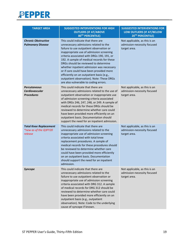

| <b>TARGET AREA</b>                                                | <b>SUGGESTED INTERVENTIONS FOR HIGH</b><br><b>OUTLIERS (IF AT/ABOVE</b><br>80 <sup>TH</sup> PERCENTILE)                                                                                                                                                                                                                                                                                                                                                                                                                             | <b>SUGGESTED INTERVENTIONS FOR</b><br>LOW OUTLIERS (IF AT/BELOW<br>20TH PERCENTILE) |
|-------------------------------------------------------------------|-------------------------------------------------------------------------------------------------------------------------------------------------------------------------------------------------------------------------------------------------------------------------------------------------------------------------------------------------------------------------------------------------------------------------------------------------------------------------------------------------------------------------------------|-------------------------------------------------------------------------------------|
| <b>Chronic Obstructive</b><br><b>Pulmonary Disease</b>            | This could indicate that there are<br>unnecessary admissions related to the<br>failure to use outpatient observation or<br>inappropriate use of admission screening<br>criteria associated with DRGs 190, 191, or<br>192. A sample of medical records for these<br>DRGs should be reviewed to determine<br>whether inpatient admission was necessary<br>or if care could have been provided more<br>efficiently on an outpatient basis (e.g.,<br>outpatient observation). Note: These DRGs<br>are also vulnerable to coding errors. | Not applicable, as this is an<br>admission-necessity focused<br>target area.        |
| <b>Percutaneous</b><br><b>Cardiovascular</b><br><b>Procedures</b> | This could indicate that there are<br>unnecessary admissions related to the use of<br>outpatient observation or inappropriate use<br>of admission screening criteria associated<br>with DRGs 246, 247, 248, or 249. A sample of<br>medical records for these DRGs should be<br>reviewed to determine whether care could<br>have been provided more efficiently on an<br>outpatient basis. Documentation should<br>support the need for an inpatient admission.                                                                      | Not applicable, as this is an<br>admission-necessity focused<br>target area.        |
| <b>Total Knee Replacement</b><br>*new as of the Q3FY20<br>release | This could indicate that there are<br>unnecessary admissions related to the<br>inappropriate use of admission screening<br>criteria associated with total knee<br>replacement procedures. A sample of<br>medical records for these procedures should<br>be reviewed to determine whether care<br>could have been provided more efficiently<br>on an outpatient basis. Documentation<br>should support the need for an inpatient<br>admission.                                                                                       | Not applicable, as this is an<br>admission-necessity focused<br>target area.        |
| <b>Syncope</b>                                                    | This could indicate that there are<br>unnecessary admissions related to the<br>failure to use outpatient observation or<br>inappropriate use of admission screening<br>criteria associated with DRG 312. A sample<br>of medical records for DRG 312 should be<br>reviewed to determine whether care could<br>have been provided more efficiently on an<br>outpatient basis (e.g., outpatient<br>observation). Note: Code to the underlying<br>cause of syncope if known.                                                            | Not applicable, as this is an<br>admission-necessity focused<br>target area.        |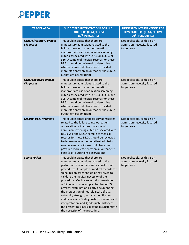

| <b>TARGET AREA</b>                                  | <b>SUGGESTED INTERVENTIONS FOR HIGH</b><br><b>OUTLIERS (IF AT/ABOVE</b><br>80TH PERCENTILE)                                                                                                                                                                                                                                                                                                                                                                                                                                                                                                                                                                                      | <b>SUGGESTED INTERVENTIONS FOR</b><br>LOW OUTLIERS (IF AT/BELOW<br>20TH PERCENTILE) |  |  |
|-----------------------------------------------------|----------------------------------------------------------------------------------------------------------------------------------------------------------------------------------------------------------------------------------------------------------------------------------------------------------------------------------------------------------------------------------------------------------------------------------------------------------------------------------------------------------------------------------------------------------------------------------------------------------------------------------------------------------------------------------|-------------------------------------------------------------------------------------|--|--|
| <b>Other Circulatory System</b><br><b>Diagnoses</b> | This could indicate that there are<br>unnecessary admissions related to the<br>failure to use outpatient observation or<br>inappropriate use of admission screening<br>criteria associated with DRGs 314, 315, or<br>316. A sample of medical records for these<br>DRGs should be reviewed to determine<br>whether care could have been provided<br>more efficiently on an outpatient basis (e.g.,<br>outpatient observation).                                                                                                                                                                                                                                                   | Not applicable, as this is an<br>admission-necessity focused<br>target area.        |  |  |
| <b>Other Digestive System</b><br><b>Diagnoses</b>   | This could indicate that there are<br>unnecessary admissions related to the<br>failure to use outpatient observation or<br>inappropriate use of admission screening<br>criteria associated with DRGs 393, 394, and<br>395. A sample of medical records for these<br>DRGs should be reviewed to determine<br>whether care could have been provided<br>more efficiently on an outpatient basis (e.g.,<br>outpatient observation).                                                                                                                                                                                                                                                  | Not applicable, as this is an<br>admission-necessity focused<br>target area.        |  |  |
| <b>Medical Back Problems</b>                        | This could indicate unnecessary admissions<br>related to the failure to use outpatient<br>observation or inappropriate use of<br>admission screening criteria associated with<br>DRGs 551 and 552. A sample of medical<br>records for these DRGs should be reviewed<br>to determine whether inpatient admission<br>was necessary or if care could have been<br>provided more efficiently on an outpatient<br>basis (e.g., outpatient observation).                                                                                                                                                                                                                               | Not applicable, as this is an<br>admission-necessity focused<br>target area.        |  |  |
| <b>Spinal Fusion</b>                                | This could indicate that there are<br>unnecessary admissions related to the<br>performance of unnecessary spinal fusion<br>procedures. A sample of medical records for<br>spinal fusion cases should be reviewed to<br>validate the medical necessity of the<br>procedure. Medical record documentation<br>of 1) previous non-surgical treatment, 2)<br>physical examination clearly documenting<br>the progression of neurological deficits,<br>extremity strength, activity modification,<br>and pain levels, 3) diagnostic test results and<br>interpretation, and 4) adequate history of<br>the presenting illness, may help substantiate<br>the necessity of the procedure. | Not applicable, as this is an<br>admission-necessity focused<br>target area.        |  |  |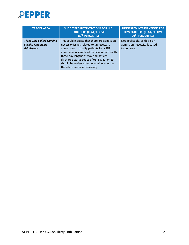

| <b>TARGET AREA</b>                                                                  | <b>SUGGESTED INTERVENTIONS FOR HIGH</b><br><b>OUTLIERS (IF AT/ABOVE</b><br>80TH PERCENTILE)                                                                                                                                                                                                                                                           | <b>SUGGESTED INTERVENTIONS FOR</b><br>LOW OUTLIERS (IF AT/BELOW<br>20TH PERCENTILE) |
|-------------------------------------------------------------------------------------|-------------------------------------------------------------------------------------------------------------------------------------------------------------------------------------------------------------------------------------------------------------------------------------------------------------------------------------------------------|-------------------------------------------------------------------------------------|
| <b>Three-Day Skilled Nursing</b><br><b>Facility-Qualifying</b><br><b>Admissions</b> | This could indicate that there are admission<br>necessity issues related to unnecessary<br>admissions to qualify patients for a SNF<br>admission. A sample of medical records with<br>three-day lengths of stay and patient<br>discharge status codes of 03, 83, 61, or 89<br>should be reviewed to determine whether<br>the admission was necessary. | Not applicable, as this is an<br>admission-necessity focused<br>target area.        |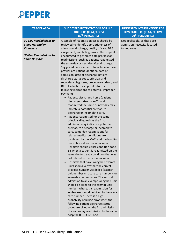

| <b>TARGET AREA</b>            | <b>SUGGESTED INTERVENTIONS FOR HIGH</b><br><b>OUTLIERS (IF AT/ABOVE</b><br>80TH PERCENTILE) | <b>SUGGESTED INTERVENTIONS FOR</b><br>LOW OUTLIERS (IF AT/BELOW<br>20 <sup>TH</sup> PERCENTILE) |
|-------------------------------|---------------------------------------------------------------------------------------------|-------------------------------------------------------------------------------------------------|
| <b>30-Day Readmissions to</b> | A sample of readmission cases should be                                                     | Not applicable, as these are                                                                    |
|                               |                                                                                             |                                                                                                 |
| <b>Same Hospital or</b>       | reviewed to identify appropriateness of                                                     | admission-necessity focused                                                                     |
| <b>Elsewhere</b>              | admission, discharge, quality of care, DRG                                                  | target areas.                                                                                   |
|                               | assignment, and billing errors. The hospital is                                             |                                                                                                 |
| <b>30-Day Readmissions to</b> | encouraged to generate data profiles for                                                    |                                                                                                 |
| <b>Same Hospital</b>          | readmissions, such as patients readmitted                                                   |                                                                                                 |
|                               | the same day or next day after discharge.                                                   |                                                                                                 |
|                               | Suggested data elements to include in these                                                 |                                                                                                 |
|                               | profiles are patient identifier, date of                                                    |                                                                                                 |
|                               | admission, date of discharge, patient                                                       |                                                                                                 |
|                               | discharge status code, principal and                                                        |                                                                                                 |
|                               | secondary diagnoses, procedure code(s), and                                                 |                                                                                                 |
|                               | DRG. Evaluate these profiles for the                                                        |                                                                                                 |
|                               |                                                                                             |                                                                                                 |
|                               | following indications of potential improper                                                 |                                                                                                 |
|                               | payments:                                                                                   |                                                                                                 |
|                               | • Patients discharged home (patient                                                         |                                                                                                 |
|                               | discharge status code 01) and                                                               |                                                                                                 |
|                               | readmitted the same or next day may                                                         |                                                                                                 |
|                               | indicate a potential premature                                                              |                                                                                                 |
|                               | discharge or incomplete care.                                                               |                                                                                                 |
|                               | Patients readmitted for the same                                                            |                                                                                                 |
|                               | principal diagnosis as the first                                                            |                                                                                                 |
|                               | admission may indicate a potential                                                          |                                                                                                 |
|                               | premature discharge or incomplete                                                           |                                                                                                 |
|                               | care. Same-day readmissions for                                                             |                                                                                                 |
|                               | related medical conditions are                                                              |                                                                                                 |
|                               | combined by the MAC, and the hospital                                                       |                                                                                                 |
|                               | is reimbursed for one admission.                                                            |                                                                                                 |
|                               | Hospitals should utilize condition code                                                     |                                                                                                 |
|                               | B4 when a patient is readmitted on the                                                      |                                                                                                 |
|                               |                                                                                             |                                                                                                 |
|                               | same day to treat a condition that was                                                      |                                                                                                 |
|                               | not related to the first admission.                                                         |                                                                                                 |
|                               | Hospitals that have swing bed exempt                                                        |                                                                                                 |
|                               | units should verify that the correct                                                        |                                                                                                 |
|                               | provider number was billed (exempt                                                          |                                                                                                 |
|                               | unit number vs. acute care number) for                                                      |                                                                                                 |
|                               | same-day readmissions. The second                                                           |                                                                                                 |
|                               | admission to an exempt swing bed unit                                                       |                                                                                                 |
|                               | should be billed to the exempt unit                                                         |                                                                                                 |
|                               | number, whereas a readmission for                                                           |                                                                                                 |
|                               | acute care should be billed to the acute                                                    |                                                                                                 |
|                               | care number. There is a high                                                                |                                                                                                 |
|                               | probability of billing error when the                                                       |                                                                                                 |
|                               |                                                                                             |                                                                                                 |
|                               | following patient discharge status                                                          |                                                                                                 |
|                               | codes are billed on the first admission                                                     |                                                                                                 |
|                               | of a same-day readmission to the same                                                       |                                                                                                 |
|                               | hospital: 03, 83, 61, or 89.                                                                |                                                                                                 |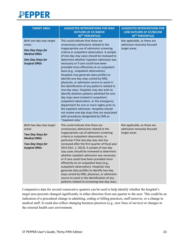

| <b>TARGET AREA</b>                                                                                                                        | <b>SUGGESTED INTERVENTIONS FOR HIGH</b><br><b>OUTLIERS (IF AT/ABOVE</b><br>80TH PERCENTILE)                                                                                                                                                                                                                                                                                                                                                                                                                                                                                                                                                                                                                                                                                                                                                                                                                                                                                     | <b>SUGGESTED INTERVENTIONS FOR</b><br>LOW OUTLIERS (IF AT/BELOW<br>20TH PERCENTILE) |
|-------------------------------------------------------------------------------------------------------------------------------------------|---------------------------------------------------------------------------------------------------------------------------------------------------------------------------------------------------------------------------------------------------------------------------------------------------------------------------------------------------------------------------------------------------------------------------------------------------------------------------------------------------------------------------------------------------------------------------------------------------------------------------------------------------------------------------------------------------------------------------------------------------------------------------------------------------------------------------------------------------------------------------------------------------------------------------------------------------------------------------------|-------------------------------------------------------------------------------------|
| Both one-day stay target<br>areas:<br><b>One-Day Stays for</b><br><b>Medical DRGs</b><br><b>One-Day Stays for</b><br><b>Surgical DRGs</b> | This could indicate that there are<br>unnecessary admissions related to the<br>inappropriate use of admission screening<br>criteria or outpatient observation. A sample<br>of one-day stay cases should be reviewed to<br>determine whether inpatient admission was<br>necessary or if care could have been<br>provided more efficiently on an outpatient<br>basis (e.g., outpatient observation).<br>Hospitals may generate data profiles to<br>identify one-day stays sorted by DRG,<br>physician, or admission source to assist in<br>the identification of any patterns related to<br>one-day stays. Hospitals may also wish to<br>identify whether patients admitted for one-<br>day stays were treated in outpatient,<br>outpatient observation, or the emergency<br>department for one or more nights prior to<br>the inpatient admission. Hospitals should<br>not review one-day stays that are associated<br>with procedures designated by CMS as<br>"inpatient only." | Not applicable, as these are<br>admission-necessity focused<br>target areas.        |
| Both two-day stay target<br>areas:<br><b>Two-Day Stays for</b><br><b>Medical DRGs</b><br><b>Two-Day Stays for</b><br><b>Surgical DRGs</b> | This could indicate that there are<br>unnecessary admissions related to the<br>inappropriate use of admission screening<br>criteria or outpatient observation, in<br>particular if the two-day stay rate has<br>increased after the first quarter of fiscal year<br>2014 (Oct. 1, 2013). A sample of two-day<br>stay cases should be reviewed to determine<br>whether inpatient admission was necessary<br>or if care could have been provided more<br>efficiently on an outpatient basis (e.g.,<br>outpatient observation). Hospitals may<br>generate data profiles to identify two-day<br>stays sorted by DRG, physician, or admission<br>source to assist in the identification of any<br>patterns related to increasing two-day stays.                                                                                                                                                                                                                                      | Not applicable, as these are<br>admission-necessity focused<br>target areas.        |

Comparative data for several consecutive quarters can be used to help identify whether the hospital's target area percents changed significantly in either direction from one quarter to the next. This could be an indication of a procedural change in admitting, coding or billing practices, staff turnover, or a change in medical staff. It could also reflect changing business practices (e.g., new lines of service) or changes in the external health care environment.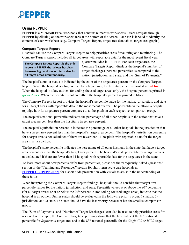#### <span id="page-23-0"></span>**Using PEPPER**

PEPPER is a Microsoft Excel workbook that contains numerous worksheets. Users navigate through PEPPER by clicking on the worksheet tabs at the bottom of the screen. Each tab is labeled to identify the contents of each worksheet (e.g., Compare Targets Report, target area data tables, target area graphs).

#### <span id="page-23-1"></span>**Compare Targets Report**

Hospitals can use the Compare Targets Report to help prioritize areas for auditing and monitoring. The Compare Targets Report includes all target areas with reportable data for the most recent fiscal year

**The Compare Targets Report is the only report in PEPPER that allows hospitals to assess high and low outlier status for all target areas simultaneously.**

quarter included in PEPPER. For each target area, the Compare Targets Report displays the hospital's number of target discharges, percent, percentiles as compared to the nation, jurisdiction, and state, and the "Sum of Payments."

The hospital's outlier status is indicated by the color of the target area percent on the Compare Targets Report. When the hospital is a high outlier for a target area, the hospital percent is printed in **red bold**. When the hospital is a low outlier (for coding-focused target areas only), the hospital percent is printed in *green italics*. When the hospital is not an outlier, the hospital's percent is printed in black.

The Compare Targets Report provides the hospital's percentile value for the nation, jurisdiction, and state for all target areas with reportable data in the most recent quarter. The percentile value allows a hospital to judge how its target area percent compares to all hospitals in each respective comparison group.

The hospital's national percentile indicates the percentage of all other hospitals in the nation that have a target area percent less than the hospital's target area percent.

The hospital's jurisdiction percentile indicates the percentage of all other hospitals in the jurisdiction that have a target area percent less than the hospital's target area percent. The hospital's jurisdiction percentile for a target area is not calculated if there are fewer than 11 hospitals with reportable data for the target area in a jurisdiction.

The hospital's state percentile indicates the percentage of all other hospitals in the state that have a target area percent less than the hospital's target area percent. The hospital's state percentile for a target area is not calculated if there are fewer than 11 hospitals with reportable data for the target area in the state.

To learn more about how percents differ from percentiles, please see the "Frequently Asked Questions" section or the "Training and Resources" section for short-term acute care hospitals at [PEPPER.CBRPEPPER.org](https://pepper.cbrpepper.org/) for a short slide presentation with visuals to assist in the understanding of these terms.

When interpreting the Compare Targets Report findings, hospitals should consider their target area percentile values for the nation, jurisdiction, and state. Percentile values at or above the  $80<sup>th</sup>$  percentile (for all target areas) or at or below the  $20<sup>th</sup>$  percentile (for coding-focused target areas) indicate that the hospital is an outlier. Outlier status should be evaluated in the following priority order: 1) nation, 2) jurisdiction, and 3) state. The state should have the last priority because it has the smallest comparison group.

The "Sum of Payments" and "Number of Target Discharges" can also be used to help prioritize areas for review. For example, the Compare Targets Report may show that the hospital is at the 85<sup>th</sup> national percentile for *Septicemia* target area and at the 83rd national percentile for the *Single CC or MCC* target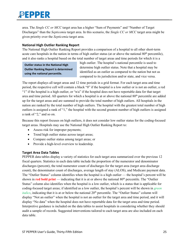area. The *Single CC or MCC* target area has a higher "Sum of Payments" and "Number of Target Discharges" than the *Septicemia* target area. In this scenario, the *Single CC or MCC* target area might be given priority over the *Septicemia* target area.

#### <span id="page-24-0"></span>**National High Outlier Ranking Report**

The National High Outlier Ranking Report provides a comparison of a hospital to all other short-term acute care hospitals in the nation in terms of high outlier status (at or above the national 80<sup>th</sup> percentile), and it also ranks a hospital based on the total number of target areas and time periods for which it is a

**Outlier status in the National High Outlier Ranking Report is determined using the national percentile.** 

high outlier. The hospital's national percentile is used to determine high outlier status. Note that a hospital may be identified as an outlier as compared to the nation but not as compared to its jurisdiction and/or state, and vice versa.

The report displays all target areas and 12 time periods in a grid format. For each target area and time period, the respective cell will contain a black "0" if the hospital is a low outlier or is not an outlier, a red "1" if the hospital is a high outlier, or "n/a" if the hospital does not have reportable data for that target area and time period. All quarters for which a hospital is at or above the national 80<sup>th</sup> percentile are added up for the target areas and are summed to provide the total number of high outliers. All hospitals in the nation are ranked by the total number of high outliers. The hospital with the greatest total number of high outliers is assigned a rank of "1," the hospital with the second greatest number of high outliers is assigned a rank of "2," and so on.

Because this report focuses on high outliers, it does not consider low outlier status for the coding-focused target areas. Hospitals may use the National High Outlier Ranking Report to:

- Assess risk for improper payments;
- Trend high outlier status across target areas;
- Compare outlier status among target areas; or
- Provide a high-level overview to leadership.

#### <span id="page-24-1"></span>**Target Area Data Tables**

PEPPER data tables display a variety of statistics for each target area summarized over the previous 12 fiscal quarters. Statistics in each data table include the proportion of the numerator and denominator discharges (percent), the total numerator count of discharges for the target area (target area discharge count), the denominator count of discharges, average length of stay (ALOS), and Medicare payment data. The "Outlier Status" column identifies when the hospital is a high outlier — the hospital's percent will be shown in **red bold print** — indicating that it is at or above the national 80<sup>th</sup> percentile. The "Outlier" Status" column also identifies when the hospital is a low outlier, which is a status that is applicable for coding-focused target areas; if identified as a low outlier, the hospital's percent will be shown in *green italics*, indicating that it is at or below the national 20<sup>th</sup> percentile. The "Outlier Status" column will display "Not an outlier" when the hospital is not an outlier for the target area and time period, and it will display "No data" when the hospital does not have reportable data for the target area and time period. Interpretive guidance is included on the data tables to assist hospitals in considering whether they should audit a sample of records. Suggested interventions tailored to each target area are also included on each data table.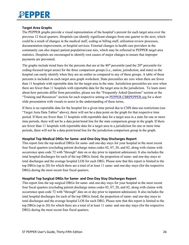#### <span id="page-25-0"></span>**Target Area Graphs**

The PEPPER graphs provide a visual representation of the hospital's percent for each target area over the previous 12 fiscal quarters. Hospitals can identify significant changes from one quarter to the next, which could be a result of changes in the medical staff, coding or billing staff, utilization review processes, documentation improvement, or hospital services. External changes in health care providers in the community can also impact patient population/case mix, which may be reflected in PEPPER target area statistics. Hospitals are encouraged to identify root causes of major changes to ensure that improper payments are prevented.

The graphs include trend lines for the percents that are at the  $80<sup>th</sup>$  percentile (and the  $20<sup>th</sup>$  percentile for coding-focused target areas) for the three comparison groups (i.e., nation, jurisdiction, and state) so the hospital can easily identify when they are an outlier as compared to any of these groups. A table of these percents is included on each target area graph worksheet. State percentiles are zero when there are fewer than 11 hospitals with reportable data for the target area in the state. Jurisdiction percentiles are zero when there are fewer than 11 hospitals with reportable data for the target area in the jurisdiction. To learn more about how percents differ from percentiles, please see the "Frequently Asked Questions" section or the "Training and Resources" section for each respective setting on [PEPPER.CBRPEPPER.org](https://pepper.cbrpepper.org/) for a short slide presentation with visuals to assist in the understanding of these terms.

If there is no reportable data for the hospital for a given time period due to CMS data use restrictions (see "Target Area Data Tables" above), there will not be a data point on the graph for that respective time period. If there are fewer than 11 hospitals with reportable data for a target area in a state for one or more time periods, there will not be a data point/trend line for the state comparison group in the graph. If there are fewer than 11 hospitals with reportable data for a target area in a jurisdiction for one or more time periods, there will not be a data point/trend line for the jurisdiction comparison group in the graph.

#### <span id="page-25-1"></span>**Hospital Top Medical DRGs for Same- and One-Day Stay Discharges Report**

This report lists the top medical DRGs for same- and one-day stays for your hospital in the most recent four fiscal quarters (excluding patient discharge status codes 02, 07, 20, and 82, along with claims with occurrence span code 72 with "through" date on or day prior to inpatient admission). It also includes the total hospital discharges for each of the top DRGs listed, the proportion of same- and one-day stays to total discharges and the average hospital LOS for each DRG. Please note that this report is limited to the top DRGs (up to 20) for which there are a total of at least 11 same- and one-day stays (for the respective DRG) during the most recent four fiscal quarters.

#### <span id="page-25-2"></span>**Hospital Top Surgical DRGs for Same- and One-Day Stay Discharges Report**

This report lists the top surgical DRGs for same- and one-day stays for your hospital in the most recent four fiscal quarters (excluding patient discharge status codes 02, 07, 20, and 82, along with claims with occurrence span code 72 with "through" date on or day prior to inpatient admission). It also includes the total hospital discharges for each of the top DRGs listed, the proportion of same- and one-day stays to total discharges and the average hospital LOS for each DRG. Please note that this report is limited to the top DRGs (up to 20) for which there are a total of at least 11 same- and one-day stays (for the respective DRG) during the most recent four fiscal quarters.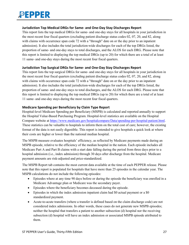#### <span id="page-26-0"></span>**Jurisdiction Top Medical DRGs for Same- and One-Day Stay Discharges Report**

This report lists the top medical DRGs for same- and one-day stays for all hospitals in your jurisdiction in the most recent four fiscal quarters (excluding patient discharge status codes 02, 07, 20, and 82, along with claims with occurrence span code 72 with a "through" date on or the day prior to an inpatient admission). It also includes the total jurisdiction-wide discharges for each of the top DRGs listed, the proportion of same- and one-day stays to total discharges, and the ALOS for each DRG. Please note that this report is limited to displaying the top medical DRGs (up to 20) for which there are a total of at least 11 same- and one-day stays during the most recent four fiscal quarters.

#### <span id="page-26-1"></span>**Jurisdiction Top Surgical DRGs for Same- and One-Day Stay Discharges Report**

This report lists the top surgical DRGs for same- and one-day stays for all hospitals in your jurisdiction in the most recent four fiscal quarters (excluding patient discharge status codes 02, 07, 20, and 82, along with claims with occurrence span code 72 with a "through" date on or the day prior to an inpatient admission). It also includes the total jurisdiction-wide discharges for each of the top DRGs listed, the proportion of same- and one-day stays to total discharges, and the ALOS for each DRG. Please note that this report is limited to displaying the top medical DRGs (up to 20) for which there are a total of at least 11 same- and one-day stays during the most recent four fiscal quarters.

#### <span id="page-26-2"></span>**Medicare Spending per Beneficiary by Claim Type Report**

Hospital-level Medicare Spending per Beneficiary (MSPB) is calculated and reported annually to support the Hospital Value-Based Purchasing Program. Hospital-level statistics are available on the Hospital Compare website at [https://www.medicare.gov/hospitalcompare/Data/spending-per-hospital-patient.html.](https://www.medicare.gov/hospitalcompare/Data/spending-per-hospital-patient.html) These statistics can be valuable to hospitals to inform them on the total cost of care; however, the existing format of the data is not easily digestible. This report is intended to give hospitals a quick look at where their costs are higher or lower than the national median hospital.

The MSPB measure evaluates hospitals' efficiency, as reflected by Medicare payments made during an MSPB episode, relative to the efficiency of the median hospital in the nation. Each episode includes all Medicare Part A and Part B claims with a start date falling during the period from three days prior to a hospital admission (i.e., index admission) through 30 days after discharge from the hospital. Medicare payment amounts are risk-adjusted and price-standardized.

The MSPB Report tab contains the most current data available at the time of each PEPPER release. Please note that this report is populated for hospitals that have more than 25 episodes in the calendar year. The MSPB calculations do not include the following episodes:

- Episodes where at any time 90 days before or during the episode the beneficiary was enrolled in a Medicare Advantage plan or Medicare was the secondary payer.
- Episodes where the beneficiary becomes deceased during the episode.
- Episodes in which the index admission inpatient claim had \$0 actual payment or a \$0 standardized payment.
- Acute-to-acute transfers (where a transfer is defined based on the claim discharge code) are not considered index admissions. In other words, these cases do not generate new MSPB episodes; neither the hospital that transfers a patient to another subsection (d) hospital nor the receiving subsection (d) hospital will have an index admission or associated MSPB episode attributed to them.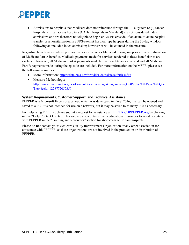• Admissions to hospitals that Medicare does not reimburse through the IPPS system (e.g., cancer hospitals, critical access hospitals [CAHs], hospitals in Maryland) are not considered index admissions and are therefore not eligible to begin an MSPB episode. If an acute-to-acute hospital transfer or a hospitalization in a PPS-exempt hospital type happens during the 30-day window following an included index admission; however, it will be counted in the measure.

Regarding beneficiaries whose primary insurance becomes Medicaid during an episode due to exhaustion of Medicare Part A benefits, Medicaid payments made for services rendered to these beneficiaries are excluded; however, all Medicare Part A payments made before benefits are exhausted and all Medicare Part B payments made during the episode are included. For more information on the MSPB, please see the following resources:

- More Information:<https://data.cms.gov/provider-data/dataset/nrth-mfg3>
- Measure Methodology: [http://www.qualitynet.org/dcs/ContentServer?c=Page&pagename=QnetPublic%2FPage%2FQnet](http://www.qualitynet.org/dcs/ContentServer?c=Page&pagename=QnetPublic%2FPage%2FQnetTier4&cid=1228772057350) [Tier4&cid=1228772057350](http://www.qualitynet.org/dcs/ContentServer?c=Page&pagename=QnetPublic%2FPage%2FQnetTier4&cid=1228772057350)

#### <span id="page-27-0"></span>**System Requirements, Customer Support, and Technical Assistance**

PEPPER is a Microsoft Excel spreadsheet, which was developed in Excel 2016, that can be opened and saved to a PC. It is not intended for use on a network, but it may be saved to as many PCs as necessary.

For help using PEPPER, please submit a request for assistance at [PEPPER.CBRPEPPER.org](https://pepper.cbrpepper.org/) by clicking on the "Help/Contact Us" tab. This website also contains many educational resources to assist hospitals with PEPPER in the "Training and Resources" section for short-term acute care hospitals.

Please do **not** contact your Medicare Quality Improvement Organization or any other association for assistance with PEPPER, as these organizations are not involved in the production or distribution of PEPPER.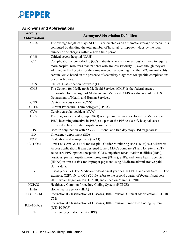

<span id="page-28-0"></span>

| <b>Acronyms and Abbreviations</b> |  |  |  |
|-----------------------------------|--|--|--|
|-----------------------------------|--|--|--|

| Acronym/<br><b>Acronym/Abbreviation Definition</b> |                                                                                                                                                                                                                                                                                                                                                                                                                                                     |  |  |  |  |
|----------------------------------------------------|-----------------------------------------------------------------------------------------------------------------------------------------------------------------------------------------------------------------------------------------------------------------------------------------------------------------------------------------------------------------------------------------------------------------------------------------------------|--|--|--|--|
| <b>Abbreviation</b>                                |                                                                                                                                                                                                                                                                                                                                                                                                                                                     |  |  |  |  |
| <b>ALOS</b>                                        | The average length of stay (ALOS) is calculated as an arithmetic average or mean. It is<br>computed by dividing the total number of hospital (or inpatient) days by the total<br>number of discharges within a given time period.                                                                                                                                                                                                                   |  |  |  |  |
| <b>CAH</b>                                         | Critical access hospital (CAH)                                                                                                                                                                                                                                                                                                                                                                                                                      |  |  |  |  |
| CC                                                 | Complication or comorbidity (CC). Patients who are more seriously ill tend to require<br>more hospital resources than patients who are less seriously ill, even though they are<br>admitted to the hospital for the same reason. Recognizing this, the DRG manual splits<br>certain DRGs based on the presence of secondary diagnoses for specific complications<br>or comorbidities.                                                               |  |  |  |  |
| <b>CCS</b>                                         | Clinical Classification Software (CCS)                                                                                                                                                                                                                                                                                                                                                                                                              |  |  |  |  |
| <b>CMS</b>                                         | The Centers for Medicare & Medicaid Services (CMS) is the federal agency<br>responsible for oversight of Medicare and Medicaid. CMS is a division of the U.S.<br>Department of Health and Human Services.                                                                                                                                                                                                                                           |  |  |  |  |
| <b>CNS</b>                                         | Central nervous system (CNS)                                                                                                                                                                                                                                                                                                                                                                                                                        |  |  |  |  |
| <b>CPT®</b>                                        | Current Procedural Terminology® (CPT®)                                                                                                                                                                                                                                                                                                                                                                                                              |  |  |  |  |
| <b>CVA</b>                                         | Cerebrovascular accident (CVA)                                                                                                                                                                                                                                                                                                                                                                                                                      |  |  |  |  |
| <b>DRG</b>                                         | The diagnosis-related group (DRG) is a system that was developed for Medicare in<br>1980, becoming effective in 1983, as a part of the PPS to classify hospital cases<br>expected to have similar hospital resource use.                                                                                                                                                                                                                            |  |  |  |  |
| DS                                                 | Used in conjunction with ST PEPPER one- and two-day stay (DS) target areas.                                                                                                                                                                                                                                                                                                                                                                         |  |  |  |  |
| <b>ED</b>                                          | Emergency department (ED)                                                                                                                                                                                                                                                                                                                                                                                                                           |  |  |  |  |
| E&M                                                | Evaluation and management (E&M)                                                                                                                                                                                                                                                                                                                                                                                                                     |  |  |  |  |
| <b>FATHOM</b>                                      | First-Look Analysis Tool for Hospital Outlier Monitoring (FATHOM) is a Microsoft<br>Access application. It was designed to help MACs compare ST and long-term (LT)<br>acute care PPS inpatient hospitals, CAHs, inpatient rehabilitation facilities (IRFs),<br>hospices, partial hospitalization programs (PHPs), SNFs, and home health agencies<br>(HHAs) in areas at risk for improper payment using Medicare administrative paid<br>claims data. |  |  |  |  |
| <b>FY</b>                                          | Fiscal year (FY). The Medicare federal fiscal year begins Oct. 1 and ends Sept. 30. For<br>example, Q2FY10 (or Q2FY2010) refers to the second quarter of federal fiscal year<br>2010, which began on Jan. 1, 2010, and ended on March 31, 2010.                                                                                                                                                                                                     |  |  |  |  |
| <b>HCPCS</b>                                       | Healthcare Common Procedure Coding System (HCPCS)                                                                                                                                                                                                                                                                                                                                                                                                   |  |  |  |  |
| <b>HHA</b>                                         | Home health agency (HHA)                                                                                                                                                                                                                                                                                                                                                                                                                            |  |  |  |  |
| $ICD-10-CM$                                        | International Classification of Diseases, 10th Revision, Clinical Modification (ICD-10-<br>$CM$ )                                                                                                                                                                                                                                                                                                                                                   |  |  |  |  |
| $ICD-10-PCS$                                       | International Classification of Diseases, 10th Revision, Procedure Coding System<br>$(ICD-10-PCS)$                                                                                                                                                                                                                                                                                                                                                  |  |  |  |  |
| <b>IPF</b>                                         | Inpatient psychiatric facility (IPF)                                                                                                                                                                                                                                                                                                                                                                                                                |  |  |  |  |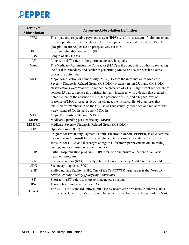| Acronym/<br><b>Abbreviation</b> | <b>Acronym/Abbreviation Definition</b>                                                    |  |  |  |
|---------------------------------|-------------------------------------------------------------------------------------------|--|--|--|
| <b>IPPS</b>                     | The inpatient prospective payment system (IPPS) sets forth a system of reimbursement      |  |  |  |
|                                 | for the operating costs of acute care hospital inpatient stays under Medicare Part A      |  |  |  |
|                                 | (Hospital Insurance) based on prospectively set rates.                                    |  |  |  |
| <b>IRF</b>                      | Inpatient rehabilitation facility (IRF)                                                   |  |  |  |
| LOS                             | Length of stay (LOS)                                                                      |  |  |  |
| LT                              | Long-term (LT) refers to long-term acute care hospitals.                                  |  |  |  |
| <b>MAC</b>                      | The Medicare Administrative Contractor (MAC) is the contracting authority replacing       |  |  |  |
|                                 | the fiscal intermediary and carrier in performing Medicare Fee-for-Service claims         |  |  |  |
|                                 | processing activities.                                                                    |  |  |  |
| <b>MCC</b>                      | Major complication or comorbidity (MCC). Before the introduction of Medicare-             |  |  |  |
|                                 | Severity Diagnosis-Related Group (MS-DRG) system version 25, many CMS-DRG                 |  |  |  |
|                                 | classifications were "paired" to reflect the presence of CCs. A significant refinement of |  |  |  |
|                                 | version 25 was to replace this pairing, in many instances, with a design that created a   |  |  |  |
|                                 | tiered system of the absence of CCs, the presence of CCs, and a higher level of           |  |  |  |
|                                 | presence of MCCs. As a result of this change, the historical list of diagnoses that       |  |  |  |
|                                 | qualified for membership on the CC list was substantially redefined and replaced with     |  |  |  |
|                                 | a new standard CC list and a new MCC list.                                                |  |  |  |
| <b>MDC</b>                      | Major Diagnostic Category (MDC)                                                           |  |  |  |
| <b>MSPB</b>                     | Medicare Spending per Beneficiary (MSPB)                                                  |  |  |  |
| MS-DRG                          | Medicare-Severity Diagnosis-Related Group (MS-DRG)                                        |  |  |  |
| <b>OR</b>                       | Operating room (OR)                                                                       |  |  |  |
| <b>PEPPER</b>                   | Program for Evaluating Payment Patterns Electronic Report (PEPPER) is an electronic       |  |  |  |
|                                 | data report in Microsoft Excel format that contains a single hospital's claims data       |  |  |  |
|                                 | statistics for DRGs and discharges at high risk for improper payments due to billing,     |  |  |  |
|                                 | coding, and/or admission necessity issues.                                                |  |  |  |
| <b>PHP</b>                      | Partial hospitalization program (PHP) refers to an intensive outpatient psychiatric       |  |  |  |
|                                 | treatment program.                                                                        |  |  |  |
| <b>RA</b>                       | Recovery auditor (RA), formerly referred to as a Recovery Audit Contractor (RAC)          |  |  |  |
| <b>SDX</b>                      | Secondary diagnosis (SDX)                                                                 |  |  |  |
| <b>SNF</b>                      | Skilled nursing facility (SNF). One of the ST PEPPER target areas is the Three-Day        |  |  |  |
|                                 | Skilled Nursing Facility-Qualifying Admissions.                                           |  |  |  |
| <b>ST</b>                       | Short-term (ST) refers to short-term acute care hospital.                                 |  |  |  |
| tPA                             | Tissue plasminogen activator (tPA)                                                        |  |  |  |
| $UB-04$                         | The UB-04 is a standard uniform bill used by health care providers to submit claims       |  |  |  |
|                                 | for services. Claims for Medicare reimbursement are submitted to the provider's MAC.      |  |  |  |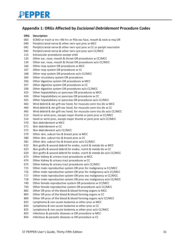

#### <span id="page-30-0"></span>**Appendix 1: DRGs Affected by** *Excisional Debridement* **Procedure Codes**

#### **DRG Description**

- ECMO or trach w mv >96 hrs or PDx exc face, mouth & neck w maj OR
- Periph/cranial nerve & other nerv syst proc w MCC
- Periph/cranial nerve & other nerv syst proc w CC or periph neurostim
- Periph/cranial nerve & other nerv syst proc w/o CC/MCC
- Extraocular procedures except orbit
- Other ear, nose, mouth & throat OR procedures w CC/MCC
- Other ear, nose, mouth & throat OR procedures w/o CC/MCC
- Other resp system OR procedures w MCC
- Other resp system OR procedures w CC
- Other resp system OR procedures w/o CC/MCC
- Other circulatory system OR procedures
- Other digestive system OR procedures w MCC
- Other digestive system OR procedures w CC
- Other digestive system OR procedures w/o CC/MCC
- Other hepatobiliary or pancreas OR procedures w MCC
- Other hepatobiliary or pancreas OR procedures w CC
- Other hepatobiliary or pancreas OR procedures w/o CC/MCC
- Wnd debrid & skn grft exc hand, for musculo-conn tiss dis w MCC
- Wnd debrid & skn grft exc hand, for musculo-conn tiss dis w CC
- Wnd debrid & skn grft exc hand, for musculo-conn tiss dis w/o CC/MCC
- Hand or wrist proc, except major thumb or joint proc w CC/MCC
- Hand or wrist proc, except major thumb or joint proc w/o CC/MCC
- Skin debridement w MCC
- Skin debridement w CC
- Skin debridement w/o CC/MCC
- Other skin, subcut tiss & breast proc w MCC
- Other skin, subcut tiss & breast proc w CC
- Other skin, subcut tiss & breast proc w/o CC/MCC
- Skin grafts & wound debrid for endoc, nutrit & metab dis w MCC
- Skin grafts & wound debrid for endoc, nutrit & metab dis w CC
- Skin grafts & wound debrid for endoc, nutrit & metab dis w/o CC/MCC
- Other kidney & urinary tract procedures w MCC
- Other kidney & urinary tract procedures w CC
- Other kidney & urinary tract procedures w/o CC/MCC
- Other male reproductive system OR proc for malignancy w CC/MCC
- Other male reproductive system OR proc for malignancy w/o CC/MCC
- Other male reproductive system OR proc exc malignancy w CC/MCC
- Other male reproductive system OR proc exc malignancy w/o CC/MCC
- Other female reproductive system OR procedures w CC/MCC
- Other female reproductive system OR procedures w/o CC/MCC
- Other OR proc of the blood & blood forming organs w MCC
- Other OR proc of the blood & blood forming organs w CC
- Other OR proc of the blood & blood forming organs w/o CC/MCC
- Lymphoma & non-acute leukemia w other proc w MCC
- Lymphoma & non-acute leukemia w other proc w CC
- Lymphoma & non-acute leukemia w other proc w/o CC/MCC
- Infectious & parasitic diseases w OR procedure w MCC
- Infectious & parasitic diseases w OR procedure w CC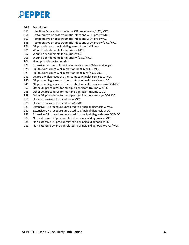#### **DRG Description**

- Infectious & parasitic diseases w OR procedure w/o CC/MCC
- Postoperative or post-traumatic infections w OR proc w MCC
- Postoperative or post-traumatic infections w OR proc w CC
- Postoperative or post-traumatic infections w OR proc w/o CC/MCC
- OR procedure w principal diagnoses of mental illness
- Wound debridements for injuries w MCC
- Wound debridements for injuries w CC
- Wound debridements for injuries w/o CC/MCC
- Hand procedures for injuries
- Extensive burns or full thickness burns w mv >96 hrs w skin graft
- Full thickness burn w skin graft or inhal inj w CC/MCC
- Full thickness burn w skin graft or inhal inj w/o CC/MCC
- OR proc w diagnoses of other contact w health services w MCC
- OR proc w diagnoses of other contact w health services w CC
- OR proc w diagnoses of other contact w health services w/o CC/MCC
- Other OR procedures for multiple significant trauma w MCC
- Other OR procedures for multiple significant trauma w CC
- Other OR procedures for multiple significant trauma w/o CC/MCC
- HIV w extensive OR procedure w MCC
- HIV w extensive OR procedure w/o MCC
- Extensive OR procedure unrelated to principal diagnosis w MCC
- Extensive OR procedure unrelated to principal diagnosis w CC
- Extensive OR procedure unrelated to principal diagnosis w/o CC/MCC
- Non-extensive OR proc unrelated to principal diagnosis w MCC
- Non-extensive OR proc unrelated to principal diagnosis w CC
- Non-extensive OR proc unrelated to principal diagnosis w/o CC/MCC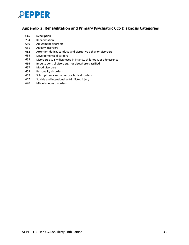

#### <span id="page-32-0"></span>**Appendix 2: Rehabilitation and Primary Psychiatric CCS Diagnosis Categories**

#### **CCS Description**

- Rehabilitation
- Adjustment disorders
- Anxiety disorders
- Attention-deficit, conduct, and disruptive behavior disorders
- Developmental disorders
- Disorders usually diagnosed in infancy, childhood, or adolescence
- Impulse control disorders, not elsewhere classified
- Mood disorders
- Personality disorders
- Schizophrenia and other psychotic disorders
- Suicide and intentional self-inflicted injury
- Miscellaneous disorders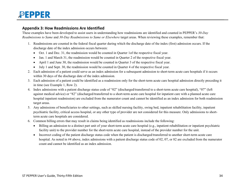#### **Appendix 3: How Readmissions Are Identified**

These examples have been developed to assist users in understanding how readmissions are identified and counted in PEPPER's *30-Day Readmissions to Same* and *30-Day Readmissions to Same or Elsewhere* target areas. When reviewing these examples, remember that:

- 1. Readmissions are counted in the federal fiscal quarter during which the discharge date of the index (first) admission occurs. If the discharge date of the index admission occurs between:
	- Oct. 1 and Dec. 31, the readmission would be counted in Quarter 1of the respective fiscal year.
	- Jan. 1 and March 31, the readmission would be counted in Quarter 2 of the respective fiscal year.
	- April 1 and June 30, the readmission would be counted in Quarter 3 of the respective fiscal year.
	- July 1 and Sept. 30, the readmission would be counted in Quarter 4 of the respective fiscal year.
- 2. Each admission of a patient could serve as an index admission for a subsequent admission to short-term acute care hospitals if it occurs within 30 days of the discharge date of the index admission.
- <span id="page-33-0"></span>3. Each admission of a patient could be identified as a readmission only for the short-term acute care hospital admission directly preceding it in time (see Example 1, Row 2).
- 4. Index admissions with a patient discharge status code of "02" (discharged/transferred to a short-term acute care hospital), "07" (left against medical advice) or "82" (discharged/transferred to a short-term acute care hospital for inpatient care with a planned acute care hospital inpatient readmission) are excluded from the numerator count and cannot be identified as an index admission for both readmission target areas.
- 5. Any admissions of beneficiaries to other settings, such as skilled nursing facility, swing bed, inpatient rehabilitation facility, inpatient psychiatric facility, critical access hospital, or any other type of provider are not considered for this measure. Only admissions to shortterm acute care hospitals are considered.
- 6. Common billing errors that may result in claims being identified as readmissions include the following:
	- Billing an admission to a distinct part unit of your short-term acute care hospital (e.g., inpatient rehabilitation or inpatient psychiatric facility unit) to the provider number for the short-term acute care hospital, instead of the provider number for the unit.
	- Incorrect coding of the patient discharge status code when the patient is discharged/transferred to another short-term acute care hospital. As noted in #4 above, index admissions with a patient discharge status code of 02, 07, or 82 are excluded from the numerator count and cannot be identified as an index admission.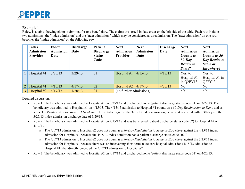#### **Example 1**

Below is a table showing claims submitted for one beneficiary. The claims are sorted in date order on the left side of the table. Each row includes two admissions: the "index admission" and the "next admission," which may be considered as a readmission. The "next admission" on one row becomes the "index admission" on the following row.

|                | <b>Index</b><br><b>Admission</b><br><b>Provider</b> | Index<br><b>Admission</b><br>Date | <b>Discharge</b><br>Date | <b>Patient</b><br><b>Discharge</b><br><b>Status</b><br>Code | <b>Next</b><br><b>Admission</b><br>Provider | <b>Next</b><br><b>Admission</b><br>Date | <b>Discharge</b><br>Date | <b>Next</b><br><b>Admission</b><br><b>Counts as</b><br>$30$ -Day<br><b>Readm</b> to<br>Same? | <b>Next</b><br><b>Admission</b><br>Counts as $30$ -<br>Day Readm to<br>Same or<br>Elsewhere? |
|----------------|-----------------------------------------------------|-----------------------------------|--------------------------|-------------------------------------------------------------|---------------------------------------------|-----------------------------------------|--------------------------|----------------------------------------------------------------------------------------------|----------------------------------------------------------------------------------------------|
|                | Hospital #1                                         | 3/25/13                           | 3/29/13                  | 01                                                          | Hospital $#1$                               | 4/15/13                                 | 4/17/13                  | Yes, to<br>Hospital $#1$<br>in Q2FY13                                                        | Yes, to<br>Hospital $#1$ in<br>Q <sub>2</sub> FY <sub>13</sub>                               |
| 2 <sup>1</sup> | Hospital $#1$                                       | 4/15/13                           | 4/17/13                  | 02                                                          | Hospital #2                                 | 4/17/13                                 | 4/20/13                  | N <sub>o</sub>                                                                               | N <sub>o</sub>                                                                               |
| 3 <sup>1</sup> | Hospital #2                                         | 4/17/13                           | 4/20/13                  | 01                                                          | (no further admissions)                     |                                         |                          | n/a                                                                                          | n/a                                                                                          |

Detailed discussion:

- Row 1: The beneficiary was admitted to Hospital #1 on  $3/25/13$  and discharged home (patient discharge status code 01) on  $3/29/13$ . The beneficiary was admitted to Hospital #1 on 4/15/13. The 4/15/13 admission to Hospital #1 counts as a *30-Day Readmission to Same* and as a *30-Day Readmission to Same or Elsewhere* to Hospital #1 against the 3/25/13 index admission, because it occurred within 30 days of the 3/25/13 index admission discharge date of 3/29/13.
- Row 2: The beneficiary was admitted to Hospital  $#1$  on  $4/15/13$  and was transferred (patient discharge status code 02) to Hospital  $#2$  on 4/17/13.
	- o The 4/17/13 admission to Hospital #2 does not count as a *30-Day Readmission to Same or Elsewhere* against the 4/15/13 index admission for Hospital #1 because the 4/15/13 index admission had a patient discharge status code "02."
	- o The 4/17/13 admission to Hospital #2 does not count as a *30-Day Readmission to Same or Elsewhere* against the 3/25/13 index admission for Hospital #1 because there was an intervening short-term acute care hospital admission (4/15/13 admission to Hospital #1) that directly preceded the 4/17/13 admission to Hospital #2.
- Row 3: The beneficiary was admitted to Hospital #2 on  $4/17/13$  and discharged home (patient discharge status code 01) on  $4/20/13$ .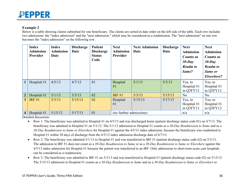#### **Example 2**

Below is a table showing claims submitted for one beneficiary. The claims are sorted in date order on the left side of the table. Each row includes two admissions: the "index admission" and the "next admission," which may be considered as a readmission. The "next admission" on one row becomes the "index admission" on the following row.

|                | <b>Index</b><br><b>Admission</b><br><b>Provider</b> | <b>Index</b><br><b>Admission</b><br>Date | <b>Discharge</b><br>Date | <b>Patient</b><br><b>Discharge</b><br><b>Status</b><br>Code | <b>Next</b><br><b>Admission</b><br>Provider | <b>Next Admission</b><br>Date | <b>Discharge</b><br>Date | <b>Next</b><br><b>Admission</b><br><b>Counts as</b><br>$30$ -Day<br><b>Readm</b> to<br>Same? | <b>Next</b><br><b>Admission</b><br><b>Counts as</b><br>$30$ -Day<br><b>Readm</b> to<br>Same or<br>Elsewhere? |
|----------------|-----------------------------------------------------|------------------------------------------|--------------------------|-------------------------------------------------------------|---------------------------------------------|-------------------------------|--------------------------|----------------------------------------------------------------------------------------------|--------------------------------------------------------------------------------------------------------------|
|                | Hospital #1                                         | 4/5/13                                   | 4/7/13                   | 01                                                          | Hospital<br>#1                              | 5/1/13                        | 5/3/13                   | Yes, to<br>Hospital $#1$<br>in Q3FY13                                                        | Yes, to<br>Hospital #1<br>in Q3FY13                                                                          |
| 2              | Hospital $#1$                                       | 5/1/13                                   | 5/3/13                   | 62                                                          | IRF $#1$                                    | 5/3/13                        | 5/15/13                  | No                                                                                           | No                                                                                                           |
| 3 <sup>1</sup> | IRF $#1$                                            | 5/3/13                                   | 5/15/13                  | 02                                                          | Hospital<br>#1                              | 5/15/13                       | 5/17/13                  | Yes, to<br>Hospital $#1$<br>in Q3FY13                                                        | Yes, to<br>Hospital $#1$<br>in Q3FY13                                                                        |
| 4              | Hospital $#1$                                       | 5/15/13                                  | 5/17/13                  | 01                                                          |                                             | (no further admissions)       |                          |                                                                                              | n/a                                                                                                          |

Detailed discussion:

- Row 1: The beneficiary was admitted to Hospital  $#1$  on  $4/5/13$  and was discharged home (patient discharge status code 01) on  $4/7/13$ . The beneficiary was admitted to Hospital #1 on 5/1/13. The 5/1/13 admission to Hospital #1 counts as a *30-Day Readmission to Same* and as a *30-Day Readmission to Same or Elsewhere* for Hospital #1 against the 4/5/13 index admission, because the beneficiary was readmitted to Hospital #1 within 30 days of discharge from the 4/5/13 index admission discharge date of 4/7/13.
- Row 2: The beneficiary was admitted  $5/1/13$  to Hospital #1 and was transferred to IRF #1 (patient discharge status code 62) on  $5/3/13$ . The admission to IRF #1 does not count as a *30-Day Readmission to Same* or as a *30-Day Readmission to Same or Elsewhere* against the 4/5/13 index admission for Hospital #1 because the patient was transferred to an IRF. Only admissions to short-term acute care hospitals can be considered as a readmission.
- Row 3: The beneficiary was admitted to IRF #1 on  $5/3/13$  and was transferred to Hospital #1 (patient discharge status code 02) on  $5/15/13$ . The 5/15/13 admission to Hospital #1 counts as a *30-Day Readmission to Same* and as a *30-Day Readmission to Same or Elsewhere* to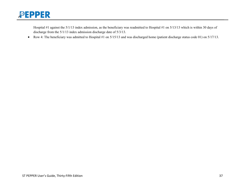

Hospital #1 against the 5/1/13 index admission, as the beneficiary was readmitted to Hospital #1 on 5/13/13 which is within 30 days of discharge from the 5/1/13 index admission discharge date of 5/3/13.

• Row 4: The beneficiary was admitted to Hospital #1 on 5/15/13 and was discharged home (patient discharge status code 01) on 5/17/13.